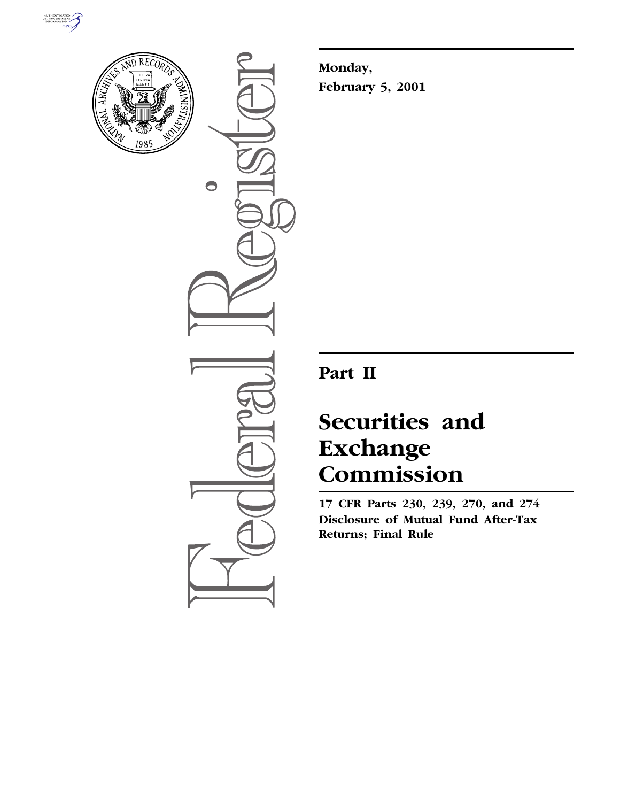



 $\bullet$ 

**Monday, February 5, 2001**

**Part II**

# **Securities and Exchange Commission**

**17 CFR Parts 230, 239, 270, and 274 Disclosure of Mutual Fund After-Tax Returns; Final Rule**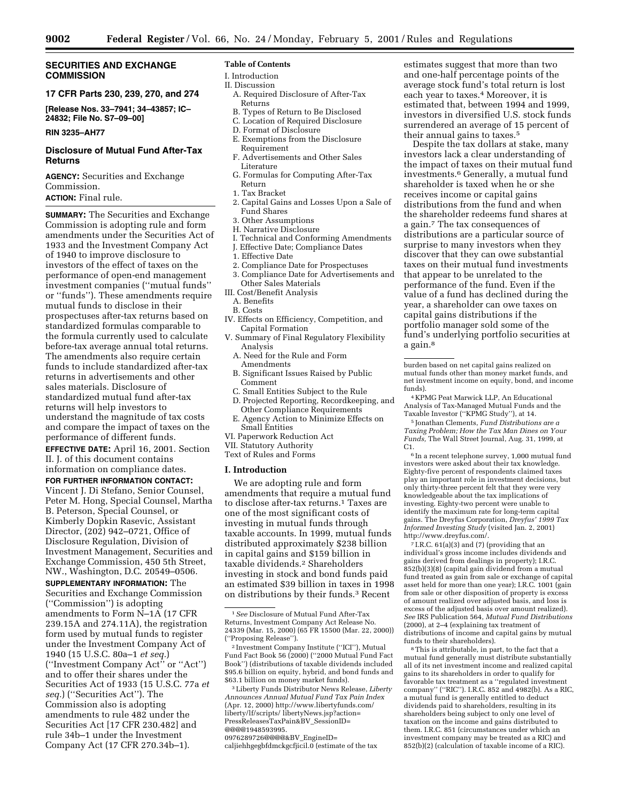# **SECURITIES AND EXCHANGE COMMISSION**

# **17 CFR Parts 230, 239, 270, and 274**

**[Release Nos. 33–7941; 34–43857; IC– 24832; File No. S7–09–00]**

#### **RIN 3235–AH77**

# **Disclosure of Mutual Fund After-Tax Returns**

**AGENCY:** Securities and Exchange Commission.

# **ACTION:** Final rule.

**SUMMARY:** The Securities and Exchange Commission is adopting rule and form amendments under the Securities Act of 1933 and the Investment Company Act of 1940 to improve disclosure to investors of the effect of taxes on the performance of open-end management investment companies (''mutual funds'' or ''funds''). These amendments require mutual funds to disclose in their prospectuses after-tax returns based on standardized formulas comparable to the formula currently used to calculate before-tax average annual total returns. The amendments also require certain funds to include standardized after-tax returns in advertisements and other sales materials. Disclosure of standardized mutual fund after-tax returns will help investors to understand the magnitude of tax costs and compare the impact of taxes on the performance of different funds.

**EFFECTIVE DATE:** April 16, 2001. Section II. J. of this document contains information on compliance dates.

#### **FOR FURTHER INFORMATION CONTACT:**

Vincent J. Di Stefano, Senior Counsel, Peter M. Hong, Special Counsel, Martha B. Peterson, Special Counsel, or Kimberly Dopkin Rasevic, Assistant Director, (202) 942–0721, Office of Disclosure Regulation, Division of Investment Management, Securities and Exchange Commission, 450 5th Street, NW., Washington, D.C. 20549–0506.

**SUPPLEMENTARY INFORMATION:** The Securities and Exchange Commission (''Commission'') is adopting amendments to Form N–1A (17 CFR 239.15A and 274.11A), the registration form used by mutual funds to register under the Investment Company Act of 1940 (15 U.S.C. 80a–1 *et seq.*) (''Investment Company Act'' or ''Act'') and to offer their shares under the Securities Act of 1933 (15 U.S.C. 77a *et seq.*) (''Securities Act''). The Commission also is adopting amendments to rule 482 under the Securities Act [17 CFR 230.482] and rule 34b–1 under the Investment Company Act (17 CFR 270.34b–1).

#### **Table of Contents**

I. Introduction II. Discussion

- A. Required Disclosure of After-Tax Returns
- B. Types of Return to Be Disclosed
- C. Location of Required Disclosure
- D. Format of Disclosure
- E. Exemptions from the Disclosure Requirement
- F. Advertisements and Other Sales Literature
- G. Formulas for Computing After-Tax Return
- 1. Tax Bracket
- 2. Capital Gains and Losses Upon a Sale of Fund Shares
- 3. Other Assumptions
- H. Narrative Disclosure
- I. Technical and Conforming Amendments
- J. Effective Date; Compliance Dates
- 1. Effective Date
- 2. Compliance Date for Prospectuses
- 3. Compliance Date for Advertisements and Other Sales Materials
- III. Cost/Benefit Analysis
	- A. Benefits
	- B. Costs
- IV. Effects on Efficiency, Competition, and Capital Formation
- V. Summary of Final Regulatory Flexibility Analysis
	- A. Need for the Rule and Form Amendments
	- B. Significant Issues Raised by Public Comment
	- C. Small Entities Subject to the Rule
	- D. Projected Reporting, Recordkeeping, and Other Compliance Requirements
	- E. Agency Action to Minimize Effects on Small Entities
- VI. Paperwork Reduction Act
- VII. Statutory Authority
- Text of Rules and Forms

#### **I. Introduction**

We are adopting rule and form amendments that require a mutual fund to disclose after-tax returns.1 Taxes are one of the most significant costs of investing in mutual funds through taxable accounts. In 1999, mutual funds distributed approximately \$238 billion in capital gains and \$159 billion in taxable dividends.2 Shareholders investing in stock and bond funds paid an estimated \$39 billion in taxes in 1998 on distributions by their funds.3 Recent

3Liberty Funds Distributor News Release, *Liberty Announces Annual Mutual Fund Tax Pain Index* (Apr. 12, 2000) http://www.libertyfunds.com/ liberty/lf/scripts/ libertyNews.jsp?action= PressReleasesTaxPain&BV\_SessionID= @@@@1948593995.

0976289726@@@@&BV\_EngineID= caljiehhgegbfdmckgcfjicil.0 (estimate of the tax

estimates suggest that more than two and one-half percentage points of the average stock fund's total return is lost each year to taxes.4 Moreover, it is estimated that, between 1994 and 1999, investors in diversified U.S. stock funds surrendered an average of 15 percent of their annual gains to taxes.5

Despite the tax dollars at stake, many investors lack a clear understanding of the impact of taxes on their mutual fund investments.6 Generally, a mutual fund shareholder is taxed when he or she receives income or capital gains distributions from the fund and when the shareholder redeems fund shares at a gain.7 The tax consequences of distributions are a particular source of surprise to many investors when they discover that they can owe substantial taxes on their mutual fund investments that appear to be unrelated to the performance of the fund. Even if the value of a fund has declined during the year, a shareholder can owe taxes on capital gains distributions if the portfolio manager sold some of the fund's underlying portfolio securities at a gain.<sup>8</sup>

4 KPMG Peat Marwick LLP, An Educational Analysis of Tax-Managed Mutual Funds and the Taxable Investor (''KPMG Study''), at 14.

5 Jonathan Clements, *Fund Distributions are a Taxing Problem; How the Tax Man Dines on Your Funds,* The Wall Street Journal, Aug. 31, 1999, at C1.

6 In a recent telephone survey, 1,000 mutual fund investors were asked about their tax knowledge. Eighty-five percent of respondents claimed taxes play an important role in investment decisions, but only thirty-three percent felt that they were very knowledgeable about the tax implications of investing. Eighty-two percent were unable to identify the maximum rate for long-term capital gains. The Dreyfus Corporation, *Dreyfus' 1999 Tax Informed Investing Study* (visited Jan. 2, 2001) http://www.dreyfus.com/.

7 I.R.C. 61(a)(3) and (7) (providing that an individual's gross income includes dividends and gains derived from dealings in property); I.R.C. 852(b)(3)(8) (capital gain dividend from a mutual fund treated as gain from sale or exchange of capital asset held for more than one year); I.R.C. 1001 (gain from sale or other disposition of property is excess of amount realized over adjusted basis, and loss is excess of the adjusted basis over amount realized). *See* IRS Publication 564, *Mutual Fund Distributions* (2000), at 2–4 (explaining tax treatment of distributions of income and capital gains by mutual funds to their shareholders).

8This is attributable, in part, to the fact that a mutual fund generally must distribute substantially all of its net investment income and realized capital gains to its shareholders in order to qualify for favorable tax treatment as a ''regulated investment company'' (''RIC''). I.R.C. 852 and 4982(b). As a RIC, a mutual fund is generally entitled to deduct dividends paid to shareholders, resulting in its shareholders being subject to only one level of taxation on the income and gains distributed to them. I.R.C. 851 (circumstances under which an investment company may be treated as a RIC) and 852(b)(2) (calculation of taxable income of a RIC).

<sup>1</sup>*See* Disclosure of Mutual Fund After-Tax Returns, Investment Company Act Release No. 24339 (Mar. 15, 2000) (65 FR 15500 (Mar. 22, 2000)) (''Proposing Release'').

<sup>2</sup> Investment Company Institute (''ICI''), Mutual Fund Fact Book 56 (2000) (''2000 Mutual Fund Fact Book'') (distributions of taxable dividends included \$95.6 billion on equity, hybrid, and bond funds and \$63.1 billion on money market funds).

burden based on net capital gains realized on mutual funds other than money market funds, and net investment income on equity, bond, and income funds).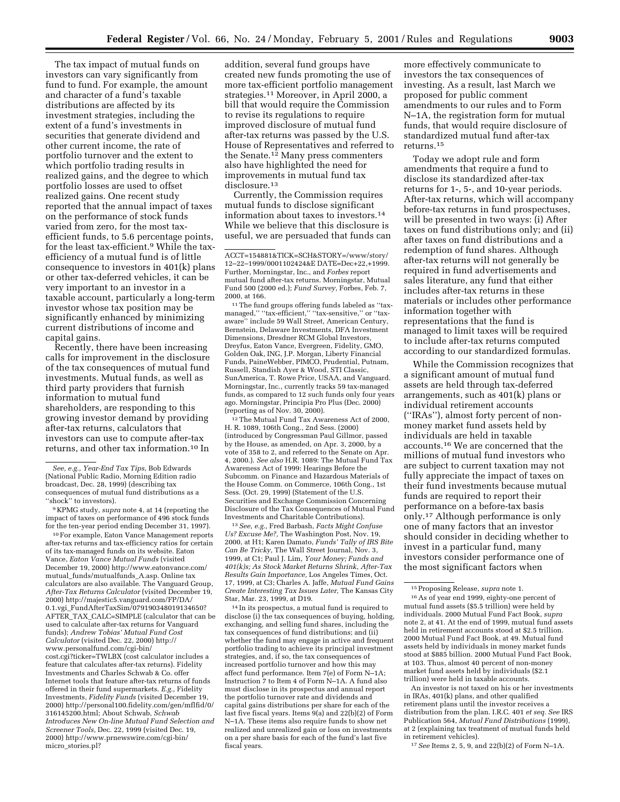The tax impact of mutual funds on investors can vary significantly from fund to fund. For example, the amount and character of a fund's taxable distributions are affected by its investment strategies, including the extent of a fund's investments in securities that generate dividend and other current income, the rate of portfolio turnover and the extent to which portfolio trading results in realized gains, and the degree to which portfolio losses are used to offset realized gains. One recent study reported that the annual impact of taxes on the performance of stock funds varied from zero, for the most taxefficient funds, to 5.6 percentage points, for the least tax-efficient.9 While the taxefficiency of a mutual fund is of little consequence to investors in 401(k) plans or other tax-deferred vehicles, it can be very important to an investor in a taxable account, particularly a long-term investor whose tax position may be significantly enhanced by minimizing current distributions of income and capital gains.

Recently, there have been increasing calls for improvement in the disclosure of the tax consequences of mutual fund investments. Mutual funds, as well as third party providers that furnish information to mutual fund shareholders, are responding to this growing investor demand by providing after-tax returns, calculators that investors can use to compute after-tax returns, and other tax information.10 In

9 KPMG study, *supra* note 4, at 14 (reporting the impact of taxes on performance of 496 stock funds for the ten-year period ending December 31, 1997).

10For example, Eaton Vance Management reports after-tax returns and tax-efficiency ratios for certain of its tax-managed funds on its website. Eaton Vance, *Eaton Vance Mutual Funds* (visited December 19, 2000) http://www.eatonvance.com/ mutual\_funds/mutualfunds\_A.asp. Online tax calculators are also available. The Vanguard Group, *After-Tax Returns Calculator* (visited December 19, 2000) http://majestic5.vanguard.com/FP/DA/ 0.1.vgi\_FundAfterTaxSim/079190348019134650? AFTER\_TAX\_CALC=SIMPLE (calculator that can be used to calculate after-tax returns for Vanguard funds); *Andrew Tobias' Mutual Fund Cost Calculator* (visited Dec. 22, 2000) http:// www.personalfund.com/cgi-bin/ cost.cgi?ticker=TWLBX (cost calculator includes a feature that calculates after-tax returns). Fidelity Investments and Charles Schwab & Co. offer Internet tools that feature after-tax returns of funds offered in their fund supermarkets. *E.g.,* Fidelity Investments, *Fidelity Funds* (visited December 19, 2000) http://personal100.fidelity.com/gen/mflfid/0/ 316145200.html; About Schwab, *Schwab Introduces New On-line Mutual Fund Selection and Screener Tools,* Dec. 22, 1999 (visited Dec. 19, 2000) http://www.prnewswire.com/cgi-bin/ micro\_stories.pl?

addition, several fund groups have created new funds promoting the use of more tax-efficient portfolio management strategies.11 Moreover, in April 2000, a bill that would require the Commission to revise its regulations to require improved disclosure of mutual fund after-tax returns was passed by the U.S. House of Representatives and referred to the Senate.12 Many press commenters also have highlighted the need for improvements in mutual fund tax disclosure.<sup>13</sup>

Currently, the Commission requires mutual funds to disclose significant information about taxes to investors.14 While we believe that this disclosure is useful, we are persuaded that funds can

11The fund groups offering funds labeled as ''taxmanaged," "tax-efficient," "tax-sensitive," or "taxaware'' include 59 Wall Street, American Century, Bernstein, Delaware Investments, DFA Investment Dimensions, Dresdner RCM Global Investors, Dreyfus, Eaton Vance, Evergreen, Fidelity, GMO, Golden Oak, ING, J.P. Morgan, Liberty Financial Funds, PaineWebber, PIMCO, Prudential, Putnam, Russell, Standish Ayer & Wood, STI Classic, SunAmerica, T. Rowe Price, USAA, and Vanguard. Morningstar, Inc., currently tracks 59 tax-managed funds, as compared to 12 such funds only four years ago. Morningstar, Principia Pro Plus (Dec. 2000) (reporting as of Nov. 30, 2000).

12The Mutual Fund Tax Awareness Act of 2000, H. R. 1089, 106th Cong., 2nd Sess. (2000) (introduced by Congressman Paul Gillmor, passed by the House, as amended, on Apr. 3, 2000, by a vote of 358 to 2, and referred to the Senate on Apr. 4, 2000.). *See also* H.R. 1089: The Mutual Fund Tax Awareness Act of 1999: Hearings Before the Subcomm. on Finance and Hazardous Materials of the House Comm. on Commerce, 106th Cong., 1st Sess. (Oct. 29, 1999) (Statement of the U.S. Securities and Exchange Commission Concerning Disclosure of the Tax Consequences of Mutual Fund Investments and Charitable Contributions).

13*See, e.g.,* Fred Barbash, *Facts Might Confuse Us? Excuse Me?,* The Washington Post, Nov. 19, 2000, at H1; Karen Damato, *Funds' Tally of IRS Bite Can Be Tricky,* The Wall Street Journal, Nov. 3, 1999, at C1; Paul J. Lim, *Your Money; Funds and 401(k)s; As Stock Market Returns Shrink, After-Tax Results Gain Importance,* Los Angeles Times, Oct. 17, 1999, at C3; Charles A. Jaffe, *Mutual Fund Gains Create Interesting Tax Issues Later,* The Kansas City Star, Mar. 23, 1999, at D19.

14 In its prospectus, a mutual fund is required to disclose (i) the tax consequences of buying, holding, exchanging, and selling fund shares, including the tax consequences of fund distributions; and (ii) whether the fund may engage in active and frequent portfolio trading to achieve its principal investment strategies, and, if so, the tax consequences of increased portfolio turnover and how this may affect fund performance. Item 7(e) of Form N–1A; Instruction 7 to Item 4 of Form N–1A. A fund also must disclose in its prospectus and annual report the portfolio turnover rate and dividends and capital gains distributions per share for each of the last five fiscal years. Items 9(a) and 22(b)(2) of Form N–1A. These items also require funds to show net realized and unrealized gain or loss on investments on a per share basis for each of the fund's last five fiscal years.

more effectively communicate to investors the tax consequences of investing. As a result, last March we proposed for public comment amendments to our rules and to Form N–1A, the registration form for mutual funds, that would require disclosure of standardized mutual fund after-tax returns.15

Today we adopt rule and form amendments that require a fund to disclose its standardized after-tax returns for 1-, 5-, and 10-year periods. After-tax returns, which will accompany before-tax returns in fund prospectuses, will be presented in two ways: (i) After taxes on fund distributions only; and (ii) after taxes on fund distributions and a redemption of fund shares. Although after-tax returns will not generally be required in fund advertisements and sales literature, any fund that either includes after-tax returns in these materials or includes other performance information together with representations that the fund is managed to limit taxes will be required to include after-tax returns computed according to our standardized formulas.

While the Commission recognizes that a significant amount of mutual fund assets are held through tax-deferred arrangements, such as 401(k) plans or individual retirement accounts (''IRAs''), almost forty percent of nonmoney market fund assets held by individuals are held in taxable accounts.16 We are concerned that the millions of mutual fund investors who are subject to current taxation may not fully appreciate the impact of taxes on their fund investments because mutual funds are required to report their performance on a before-tax basis only.17 Although performance is only one of many factors that an investor should consider in deciding whether to invest in a particular fund, many investors consider performance one of the most significant factors when

An investor is not taxed on his or her investments in IRAs, 401(k) plans, and other qualified retirement plans until the investor receives a distribution from the plan. I.R.C. 401 *et seq. See* IRS Publication 564, *Mutual Fund Distributions* (1999), at 2 (explaining tax treatment of mutual funds held in retirement vehicles).

17*See* Items 2, 5, 9, and 22(b)(2) of Form N–1A.

*See, e.g., Year-End Tax Tips*, Bob Edwards (National Public Radio, Morning Edition radio broadcast, Dec. 28, 1999) (describing tax consequences of mutual fund distributions as a "shock" to investors).

ACCT=154881&TICK=SCH&STORY=/www/story/ 12–22–1999/0001102424&E DATE=Dec+22,+1999. Further, Morningstar, Inc., and *Forbes* report mutual fund after-tax returns. Morningstar, Mutual Fund 500 (2000 ed.); *Fund Survey,* Forbes, Feb. 7, 2000, at 166.

<sup>15</sup>Proposing Release, *supra* note 1. 16As of year end 1999, eighty-one percent of mutual fund assets (\$5.5 trillion) were held by individuals. 2000 Mutual Fund Fact Book, *supra* note 2, at 41. At the end of 1999, mutual fund assets held in retirement accounts stood at \$2.5 trillion. 2000 Mutual Fund Fact Book, at 49. Mutual fund assets held by individuals in money market funds stood at \$885 billion. 2000 Mutual Fund Fact Book, at 103. Thus, almost 40 percent of non-money market fund assets held by individuals (\$2.1 trillion) were held in taxable accounts.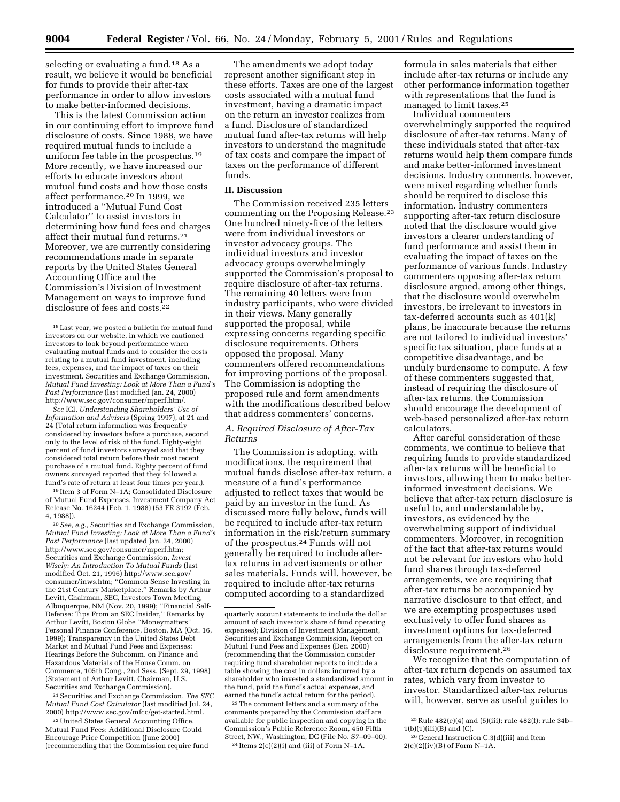selecting or evaluating a fund.<sup>18</sup> As a result, we believe it would be beneficial for funds to provide their after-tax performance in order to allow investors to make better-informed decisions.

This is the latest Commission action in our continuing effort to improve fund disclosure of costs. Since 1988, we have required mutual funds to include a uniform fee table in the prospectus.19 More recently, we have increased our efforts to educate investors about mutual fund costs and how those costs affect performance.20 In 1999, we introduced a ''Mutual Fund Cost Calculator'' to assist investors in determining how fund fees and charges affect their mutual fund returns.21 Moreover, we are currently considering recommendations made in separate reports by the United States General Accounting Office and the Commission's Division of Investment Management on ways to improve fund disclosure of fees and costs.<sup>22</sup>

*See* ICI, *Understanding Shareholders' Use of Information and Advisers* (Spring 1997), at 21 and 24 (Total return information was frequently considered by investors before a purchase, second only to the level of risk of the fund. Eighty-eight percent of fund investors surveyed said that they considered total return before their most recent purchase of a mutual fund. Eighty percent of fund owners surveyed reported that they followed a fund's rate of return at least four times per year.).

19 Item 3 of Form N–1A; Consolidated Disclosure of Mutual Fund Expenses, Investment Company Act Release No. 16244 (Feb. 1, 1988) (53 FR 3192 (Feb. 4, 1988)).

20*See, e.g.,* Securities and Exchange Commission, *Mutual Fund Investing: Look at More Than a Fund's Past Performance* (last updated Jan. 24, 2000) http://www.sec.gov/consumer/mperf.htm; Securities and Exchange Commission, *Invest Wisely: An Introduction To Mutual Funds* (last modified Oct. 21, 1996) http://www.sec.gov/ consumer/inws.htm; ''Common Sense Investing in the 21st Century Marketplace,'' Remarks by Arthur Levitt, Chairman, SEC, Investors Town Meeting, Albuquerque, NM (Nov. 20, 1999); ''Financial Self-Defense: Tips From an SEC Insider,'' Remarks by Arthur Levitt, Boston Globe ''Moneymatters'' Personal Finance Conference, Boston, MA (Oct. 16, 1999); Transparency in the United States Debt Market and Mutual Fund Fees and Expenses: Hearings Before the Subcomm. on Finance and Hazardous Materials of the House Comm. on Commerce, 105th Cong., 2nd Sess. (Sept. 29, 1998) (Statement of Arthur Levitt, Chairman, U.S. Securities and Exchange Commission).

21Securities and Exchange Commission, *The SEC Mutual Fund Cost Calculator* (last modified Jul. 24, 2000) http://www.sec.gov/mfcc/get-started.html.

22United States General Accounting Office, Mutual Fund Fees: Additional Disclosure Could Encourage Price Competition (June 2000) (recommending that the Commission require fund

The amendments we adopt today represent another significant step in these efforts. Taxes are one of the largest costs associated with a mutual fund investment, having a dramatic impact on the return an investor realizes from a fund. Disclosure of standardized mutual fund after-tax returns will help investors to understand the magnitude of tax costs and compare the impact of taxes on the performance of different funds.

# **II. Discussion**

The Commission received 235 letters commenting on the Proposing Release.23 One hundred ninety-five of the letters were from individual investors or investor advocacy groups. The individual investors and investor advocacy groups overwhelmingly supported the Commission's proposal to require disclosure of after-tax returns. The remaining 40 letters were from industry participants, who were divided in their views. Many generally supported the proposal, while expressing concerns regarding specific disclosure requirements. Others opposed the proposal. Many commenters offered recommendations for improving portions of the proposal. The Commission is adopting the proposed rule and form amendments with the modifications described below that address commenters' concerns.

# *A. Required Disclosure of After-Tax Returns*

The Commission is adopting, with modifications, the requirement that mutual funds disclose after-tax return, a measure of a fund's performance adjusted to reflect taxes that would be paid by an investor in the fund. As discussed more fully below, funds will be required to include after-tax return information in the risk/return summary of the prospectus.24 Funds will not generally be required to include aftertax returns in advertisements or other sales materials. Funds will, however, be required to include after-tax returns computed according to a standardized

23The comment letters and a summary of the comments prepared by the Commission staff are available for public inspection and copying in the Commission's Public Reference Room, 450 Fifth Street, NW., Washington, DC (File No. S7–09–00).  $24$  Items  $2(c)(2)(i)$  and (iii) of Form N-1A.

formula in sales materials that either include after-tax returns or include any other performance information together with representations that the fund is managed to limit taxes.25

Individual commenters

overwhelmingly supported the required disclosure of after-tax returns. Many of these individuals stated that after-tax returns would help them compare funds and make better-informed investment decisions. Industry comments, however, were mixed regarding whether funds should be required to disclose this information. Industry commenters supporting after-tax return disclosure noted that the disclosure would give investors a clearer understanding of fund performance and assist them in evaluating the impact of taxes on the performance of various funds. Industry commenters opposing after-tax return disclosure argued, among other things, that the disclosure would overwhelm investors, be irrelevant to investors in tax-deferred accounts such as 401(k) plans, be inaccurate because the returns are not tailored to individual investors' specific tax situation, place funds at a competitive disadvantage, and be unduly burdensome to compute. A few of these commenters suggested that, instead of requiring the disclosure of after-tax returns, the Commission should encourage the development of web-based personalized after-tax return calculators.

After careful consideration of these comments, we continue to believe that requiring funds to provide standardized after-tax returns will be beneficial to investors, allowing them to make betterinformed investment decisions. We believe that after-tax return disclosure is useful to, and understandable by, investors, as evidenced by the overwhelming support of individual commenters. Moreover, in recognition of the fact that after-tax returns would not be relevant for investors who hold fund shares through tax-deferred arrangements, we are requiring that after-tax returns be accompanied by narrative disclosure to that effect, and we are exempting prospectuses used exclusively to offer fund shares as investment options for tax-deferred arrangements from the after-tax return disclosure requirement.26

We recognize that the computation of after-tax return depends on assumed tax rates, which vary from investor to investor. Standardized after-tax returns will, however, serve as useful guides to

 $^{\rm 18}\,$  Last year, we posted a bullet<br>in for mutual fund investors on our website, in which we cautioned investors to look beyond performance when evaluating mutual funds and to consider the costs relating to a mutual fund investment, including fees, expenses, and the impact of taxes on their investment. Securities and Exchange Commission, *Mutual Fund Investing: Look at More Than a Fund's Past Performance* (last modified Jan. 24, 2000) http://www.sec.gov/consumer/mperf.htm/.

quarterly account statements to include the dollar amount of each investor's share of fund operating expenses); Division of Investment Management, Securities and Exchange Commission, Report on Mutual Fund Fees and Expenses (Dec. 2000) (recommending that the Commission consider requiring fund shareholder reports to include a table showing the cost in dollars incurred by a shareholder who invested a standardized amount in the fund, paid the fund's actual expenses, and earned the fund's actual return for the period).

<sup>25</sup>Rule 482(e)(4) and (5)(iii); rule 482(f); rule 34b– 1(b)(1)(iii)(B) and (C).

<sup>26</sup> General Instruction C.3(d)(iii) and Item 2(c)(2)(iv)(B) of Form N–1A.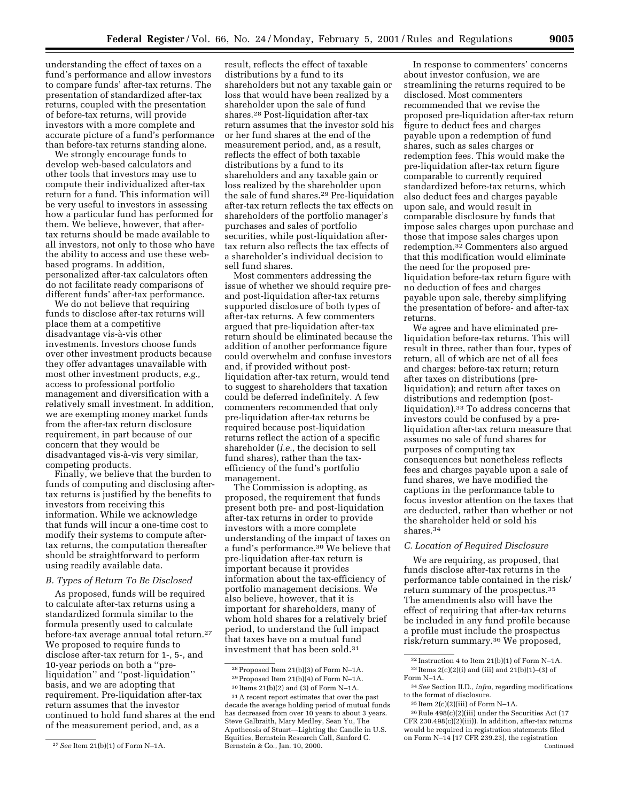understanding the effect of taxes on a fund's performance and allow investors to compare funds' after-tax returns. The presentation of standardized after-tax returns, coupled with the presentation of before-tax returns, will provide investors with a more complete and accurate picture of a fund's performance than before-tax returns standing alone.

We strongly encourage funds to develop web-based calculators and other tools that investors may use to compute their individualized after-tax return for a fund. This information will be very useful to investors in assessing how a particular fund has performed for them. We believe, however, that aftertax returns should be made available to all investors, not only to those who have the ability to access and use these webbased programs. In addition, personalized after-tax calculators often do not facilitate ready comparisons of different funds' after-tax performance.

We do not believe that requiring funds to disclose after-tax returns will place them at a competitive disadvantage vis-à-vis other investments. Investors choose funds over other investment products because they offer advantages unavailable with most other investment products, *e.g.,* access to professional portfolio management and diversification with a relatively small investment. In addition, we are exempting money market funds from the after-tax return disclosure requirement, in part because of our concern that they would be disadvantaged vis-à-vis very similar, competing products.

Finally, we believe that the burden to funds of computing and disclosing aftertax returns is justified by the benefits to investors from receiving this information. While we acknowledge that funds will incur a one-time cost to modify their systems to compute aftertax returns, the computation thereafter should be straightforward to perform using readily available data.

#### *B. Types of Return To Be Disclosed*

As proposed, funds will be required to calculate after-tax returns using a standardized formula similar to the formula presently used to calculate before-tax average annual total return.27 We proposed to require funds to disclose after-tax return for 1-, 5-, and 10-year periods on both a ''preliquidation'' and ''post-liquidation'' basis, and we are adopting that requirement. Pre-liquidation after-tax return assumes that the investor continued to hold fund shares at the end of the measurement period, and, as a

result, reflects the effect of taxable distributions by a fund to its shareholders but not any taxable gain or loss that would have been realized by a shareholder upon the sale of fund shares.28 Post-liquidation after-tax return assumes that the investor sold his or her fund shares at the end of the measurement period, and, as a result, reflects the effect of both taxable distributions by a fund to its shareholders and any taxable gain or loss realized by the shareholder upon the sale of fund shares.29 Pre-liquidation after-tax return reflects the tax effects on shareholders of the portfolio manager's purchases and sales of portfolio securities, while post-liquidation aftertax return also reflects the tax effects of a shareholder's individual decision to sell fund shares.

Most commenters addressing the issue of whether we should require preand post-liquidation after-tax returns supported disclosure of both types of after-tax returns. A few commenters argued that pre-liquidation after-tax return should be eliminated because the addition of another performance figure could overwhelm and confuse investors and, if provided without postliquidation after-tax return, would tend to suggest to shareholders that taxation could be deferred indefinitely. A few commenters recommended that only pre-liquidation after-tax returns be required because post-liquidation returns reflect the action of a specific shareholder (*i.e.,* the decision to sell fund shares), rather than the taxefficiency of the fund's portfolio management.

The Commission is adopting, as proposed, the requirement that funds present both pre- and post-liquidation after-tax returns in order to provide investors with a more complete understanding of the impact of taxes on a fund's performance.30 We believe that pre-liquidation after-tax return is important because it provides information about the tax-efficiency of portfolio management decisions. We also believe, however, that it is important for shareholders, many of whom hold shares for a relatively brief period, to understand the full impact that taxes have on a mutual fund investment that has been sold.<sup>31</sup>

In response to commenters' concerns about investor confusion, we are streamlining the returns required to be disclosed. Most commenters recommended that we revise the proposed pre-liquidation after-tax return figure to deduct fees and charges payable upon a redemption of fund shares, such as sales charges or redemption fees. This would make the pre-liquidation after-tax return figure comparable to currently required standardized before-tax returns, which also deduct fees and charges payable upon sale, and would result in comparable disclosure by funds that impose sales charges upon purchase and those that impose sales charges upon redemption.32 Commenters also argued that this modification would eliminate the need for the proposed preliquidation before-tax return figure with no deduction of fees and charges payable upon sale, thereby simplifying the presentation of before- and after-tax returns.

We agree and have eliminated preliquidation before-tax returns. This will result in three, rather than four, types of return, all of which are net of all fees and charges: before-tax return; return after taxes on distributions (preliquidation); and return after taxes on distributions and redemption (postliquidation).33 To address concerns that investors could be confused by a preliquidation after-tax return measure that assumes no sale of fund shares for purposes of computing tax consequences but nonetheless reflects fees and charges payable upon a sale of fund shares, we have modified the captions in the performance table to focus investor attention on the taxes that are deducted, rather than whether or not the shareholder held or sold his shares.34

# *C. Location of Required Disclosure*

We are requiring, as proposed, that funds disclose after-tax returns in the performance table contained in the risk/ return summary of the prospectus.35 The amendments also will have the effect of requiring that after-tax returns be included in any fund profile because a profile must include the prospectus risk/return summary.36 We proposed,

<sup>27</sup>*See* Item 21(b)(1) of Form N–1A.

<sup>28</sup>Proposed Item 21(b)(3) of Form N–1A.

<sup>&</sup>lt;sup>29</sup> Proposed Item  $21(b)(4)$  of Form N-1A.

<sup>30</sup> Items 21(b)(2) and (3) of Form N–1A.

<sup>31</sup>A recent report estimates that over the past decade the average holding period of mutual funds has decreased from over 10 years to about 3 years. Steve Galbraith, Mary Medley, Sean Yu, The Apotheosis of Stuart—Lighting the Candle in U.S. Equities, Bernstein Research Call, Sanford C. Bernstein & Co., Jan. 10, 2000.

<sup>32</sup> Instruction 4 to Item 21(b)(1) of Form N–1A.  $33$  Items  $2(c)(2)(i)$  and (iii) and  $21(b)(1)–(3)$  of Form N–1A.

<sup>34</sup>*See* Section II.D., *infra,* regarding modifications to the format of disclosure.

<sup>35</sup> Item 2(c)(2)(iii) of Form N–1A.

<sup>36</sup>Rule 498(c)(2)(iii) under the Securities Act (17 CFR 230.498(c)(2)(iii)). In addition, after-tax returns would be required in registration statements filed on Form N–14 [17 CFR 239.23], the registration Continued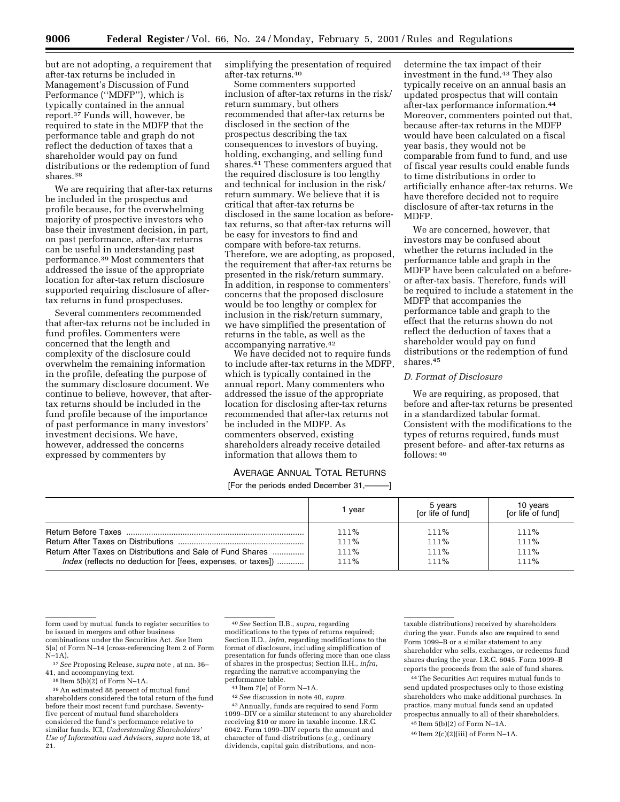but are not adopting, a requirement that after-tax returns be included in Management's Discussion of Fund Performance (''MDFP''), which is typically contained in the annual report.37 Funds will, however, be required to state in the MDFP that the performance table and graph do not reflect the deduction of taxes that a shareholder would pay on fund distributions or the redemption of fund shares.38

We are requiring that after-tax returns be included in the prospectus and profile because, for the overwhelming majority of prospective investors who base their investment decision, in part, on past performance, after-tax returns can be useful in understanding past performance.39 Most commenters that addressed the issue of the appropriate location for after-tax return disclosure supported requiring disclosure of aftertax returns in fund prospectuses.

Several commenters recommended that after-tax returns not be included in fund profiles. Commenters were concerned that the length and complexity of the disclosure could overwhelm the remaining information in the profile, defeating the purpose of the summary disclosure document. We continue to believe, however, that aftertax returns should be included in the fund profile because of the importance of past performance in many investors' investment decisions. We have, however, addressed the concerns expressed by commenters by

simplifying the presentation of required after-tax returns.40

Some commenters supported inclusion of after-tax returns in the risk/ return summary, but others recommended that after-tax returns be disclosed in the section of the prospectus describing the tax consequences to investors of buying, holding, exchanging, and selling fund shares.<sup>41</sup> These commenters argued that the required disclosure is too lengthy and technical for inclusion in the risk/ return summary. We believe that it is critical that after-tax returns be disclosed in the same location as beforetax returns, so that after-tax returns will be easy for investors to find and compare with before-tax returns. Therefore, we are adopting, as proposed, the requirement that after-tax returns be presented in the risk/return summary. In addition, in response to commenters' concerns that the proposed disclosure would be too lengthy or complex for inclusion in the risk/return summary, we have simplified the presentation of returns in the table, as well as the accompanying narrative.42

We have decided not to require funds to include after-tax returns in the MDFP, which is typically contained in the annual report. Many commenters who addressed the issue of the appropriate location for disclosing after-tax returns recommended that after-tax returns not be included in the MDFP. As commenters observed, existing shareholders already receive detailed information that allows them to

determine the tax impact of their investment in the fund.43 They also typically receive on an annual basis an updated prospectus that will contain after-tax performance information.44 Moreover, commenters pointed out that, because after-tax returns in the MDFP would have been calculated on a fiscal year basis, they would not be comparable from fund to fund, and use of fiscal year results could enable funds to time distributions in order to artificially enhance after-tax returns. We have therefore decided not to require disclosure of after-tax returns in the MDFP.

We are concerned, however, that investors may be confused about whether the returns included in the performance table and graph in the MDFP have been calculated on a beforeor after-tax basis. Therefore, funds will be required to include a statement in the MDFP that accompanies the performance table and graph to the effect that the returns shown do not reflect the deduction of taxes that a shareholder would pay on fund distributions or the redemption of fund shares.45

### *D. Format of Disclosure*

We are requiring, as proposed, that before and after-tax returns be presented in a standardized tabular format. Consistent with the modifications to the types of returns required, funds must present before- and after-tax returns as follows: 46

# AVERAGE ANNUAL TOTAL RETURNS

[For the periods ended December 31,———]

|                                                                     | vear | 5 years<br>[or life of fund] | 10 years<br>[or life of fund] |
|---------------------------------------------------------------------|------|------------------------------|-------------------------------|
|                                                                     | 111% | 111%                         | 111%                          |
|                                                                     | 111% | 111%                         | 111%                          |
| Return After Taxes on Distributions and Sale of Fund Shares         | 111% | 111%                         | 111%                          |
| <i>Index</i> (reflects no deduction for [fees, expenses, or taxes]) | 111% | 111%                         | 111%                          |

form used by mutual funds to register securities to be issued in mergers and other business combinations under the Securities Act. *See* Item 5(a) of Form N–14 (cross-referencing Item 2 of Form  $N-1A$ ).

37*See* Proposing Release, *supra* note , at nn. 36– 41, and accompanying text.

38 Item 5(b)(2) of Form N–1A.

39An estimated 88 percent of mutual fund shareholders considered the total return of the fund before their most recent fund purchase. Seventyfive percent of mutual fund shareholders considered the fund's performance relative to similar funds. ICI, *Understanding Shareholders' Use of Information and Advisers, supra* note 18, at 21.

40*See* Section II.B., *supra,* regarding modifications to the types of returns required; Section II.D., *infra,* regarding modifications to the format of disclosure, including simplification of presentation for funds offering more than one class of shares in the prospectus; Section II.H., *infra,* regarding the narrative accompanying the performance table.

41 Item 7(e) of Form N–1A.

42*See* discussion in note 40, *supra.* 43Annually, funds are required to send Form 1099–DIV or a similar statement to any shareholder receiving \$10 or more in taxable income. I.R.C. 6042. Form 1099–DIV reports the amount and character of fund distributions (*e.g.,* ordinary dividends, capital gain distributions, and nontaxable distributions) received by shareholders during the year. Funds also are required to send Form 1099–B or a similar statement to any shareholder who sells, exchanges, or redeems fund shares during the year. I.R.C. 6045. Form 1099–B reports the proceeds from the sale of fund shares.

44The Securities Act requires mutual funds to send updated prospectuses only to those existing shareholders who make additional purchases. In practice, many mutual funds send an updated prospectus annually to all of their shareholders.

45 Item 5(b)(2) of Form N–1A.

46 Item 2(c)(2)(iii) of Form N–1A.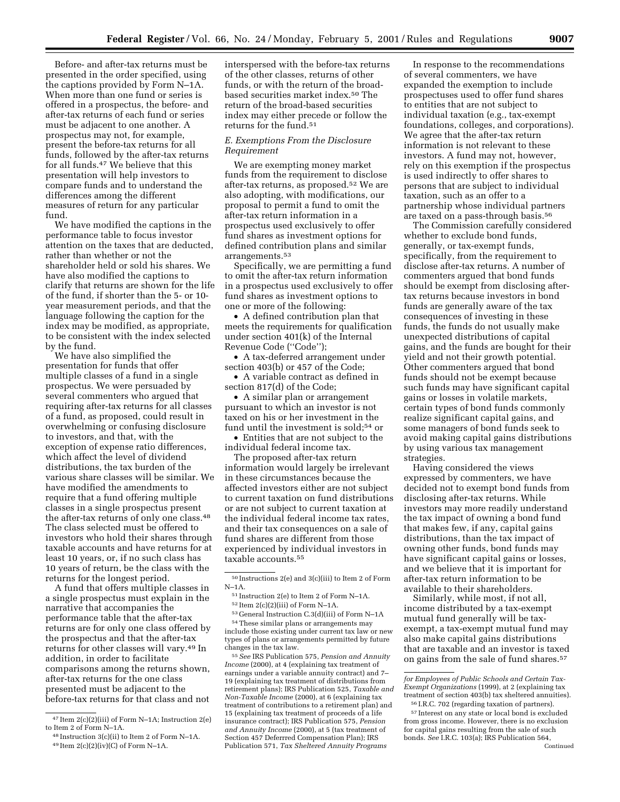Before- and after-tax returns must be presented in the order specified, using the captions provided by Form N–1A. When more than one fund or series is offered in a prospectus, the before- and after-tax returns of each fund or series must be adjacent to one another. A prospectus may not, for example, present the before-tax returns for all funds, followed by the after-tax returns for all funds.47 We believe that this presentation will help investors to compare funds and to understand the differences among the different measures of return for any particular fund.

We have modified the captions in the performance table to focus investor attention on the taxes that are deducted, rather than whether or not the shareholder held or sold his shares. We have also modified the captions to clarify that returns are shown for the life of the fund, if shorter than the 5- or 10 year measurement periods, and that the language following the caption for the index may be modified, as appropriate, to be consistent with the index selected by the fund.

We have also simplified the presentation for funds that offer multiple classes of a fund in a single prospectus. We were persuaded by several commenters who argued that requiring after-tax returns for all classes of a fund, as proposed, could result in overwhelming or confusing disclosure to investors, and that, with the exception of expense ratio differences, which affect the level of dividend distributions, the tax burden of the various share classes will be similar. We have modified the amendments to require that a fund offering multiple classes in a single prospectus present the after-tax returns of only one class.48 The class selected must be offered to investors who hold their shares through taxable accounts and have returns for at least 10 years, or, if no such class has 10 years of return, be the class with the returns for the longest period.

A fund that offers multiple classes in a single prospectus must explain in the narrative that accompanies the performance table that the after-tax returns are for only one class offered by the prospectus and that the after-tax returns for other classes will vary.49 In addition, in order to facilitate comparisons among the returns shown, after-tax returns for the one class presented must be adjacent to the before-tax returns for that class and not

interspersed with the before-tax returns of the other classes, returns of other funds, or with the return of the broadbased securities market index.50 The return of the broad-based securities index may either precede or follow the returns for the fund.<sup>51</sup>

# *E. Exemptions From the Disclosure Requirement*

We are exempting money market funds from the requirement to disclose after-tax returns, as proposed.52 We are also adopting, with modifications, our proposal to permit a fund to omit the after-tax return information in a prospectus used exclusively to offer fund shares as investment options for defined contribution plans and similar arrangements.53

Specifically, we are permitting a fund to omit the after-tax return information in a prospectus used exclusively to offer fund shares as investment options to one or more of the following:

• A defined contribution plan that meets the requirements for qualification under section 401(k) of the Internal Revenue Code (''Code'');

• A tax-deferred arrangement under section 403(b) or 457 of the Code;

• A variable contract as defined in section 817(d) of the Code;

• A similar plan or arrangement pursuant to which an investor is not taxed on his or her investment in the fund until the investment is sold;<sup>54</sup> or

• Entities that are not subject to the individual federal income tax.

The proposed after-tax return information would largely be irrelevant in these circumstances because the affected investors either are not subject to current taxation on fund distributions or are not subject to current taxation at the individual federal income tax rates, and their tax consequences on a sale of fund shares are different from those experienced by individual investors in taxable accounts.55

53 General Instruction C.3(d)(iii) of Form N–1A 54These similar plans or arrangements may include those existing under current tax law or new

types of plans or arrangements permitted by future changes in the tax law.

55*See* IRS Publication 575, *Pension and Annuity Income* (2000), at 4 (explaining tax treatment of earnings under a variable annuity contract) and 7– 19 (explaining tax treatment of distributions from retirement plans); IRS Publication 525, *Taxable and Non-Taxable Income* (2000), at 6 (explaining tax treatment of contributions to a retirement plan) and 15 (explaining tax treatment of proceeds of a life insurance contract); IRS Publication 575, *Pension and Annuity Income* (2000), at 5 (tax treatment of Section 457 Deferrred Compensation Plan); IRS Publication 571, *Tax Sheltered Annuity Programs*

In response to the recommendations of several commenters, we have expanded the exemption to include prospectuses used to offer fund shares to entities that are not subject to individual taxation (e.g., tax-exempt foundations, colleges, and corporations). We agree that the after-tax return information is not relevant to these investors. A fund may not, however, rely on this exemption if the prospectus is used indirectly to offer shares to persons that are subject to individual taxation, such as an offer to a partnership whose individual partners are taxed on a pass-through basis.56

The Commission carefully considered whether to exclude bond funds, generally, or tax-exempt funds, specifically, from the requirement to disclose after-tax returns. A number of commenters argued that bond funds should be exempt from disclosing aftertax returns because investors in bond funds are generally aware of the tax consequences of investing in these funds, the funds do not usually make unexpected distributions of capital gains, and the funds are bought for their yield and not their growth potential. Other commenters argued that bond funds should not be exempt because such funds may have significant capital gains or losses in volatile markets, certain types of bond funds commonly realize significant capital gains, and some managers of bond funds seek to avoid making capital gains distributions by using various tax management strategies.

Having considered the views expressed by commenters, we have decided not to exempt bond funds from disclosing after-tax returns. While investors may more readily understand the tax impact of owning a bond fund that makes few, if any, capital gains distributions, than the tax impact of owning other funds, bond funds may have significant capital gains or losses, and we believe that it is important for after-tax return information to be available to their shareholders.

Similarly, while most, if not all, income distributed by a tax-exempt mutual fund generally will be taxexempt, a tax-exempt mutual fund may also make capital gains distributions that are taxable and an investor is taxed on gains from the sale of fund shares.57

<sup>47</sup> Item 2(c)(2)(iii) of Form N–1A; Instruction 2(e) to Item 2 of Form N–1A.

<sup>48</sup> Instruction 3(c)(ii) to Item 2 of Form N–1A. 49 Item 2(c)(2)(iv)(C) of Form N–1A.

 $^{50}\,$  Instructions 2(e) and 3(c)(iii) to Item 2 of Form N–1A.

<sup>51</sup> Instruction 2(e) to Item 2 of Form N–1A.

 $52$  Item 2(c)(2)(iii) of Form N-1A.

*for Employees of Public Schools and Certain Tax-Exempt Organizations* (1999), at 2 (explaining tax treatment of section 403(b) tax sheltered annuities).

<sup>56</sup> I.R.C. 702 (regarding taxation of partners). 57 Interest on any state or local bond is excluded from gross income. However, there is no exclusion for capital gains resulting from the sale of such bonds. *See* I.R.C. 103(a); IRS Publication 564, Continued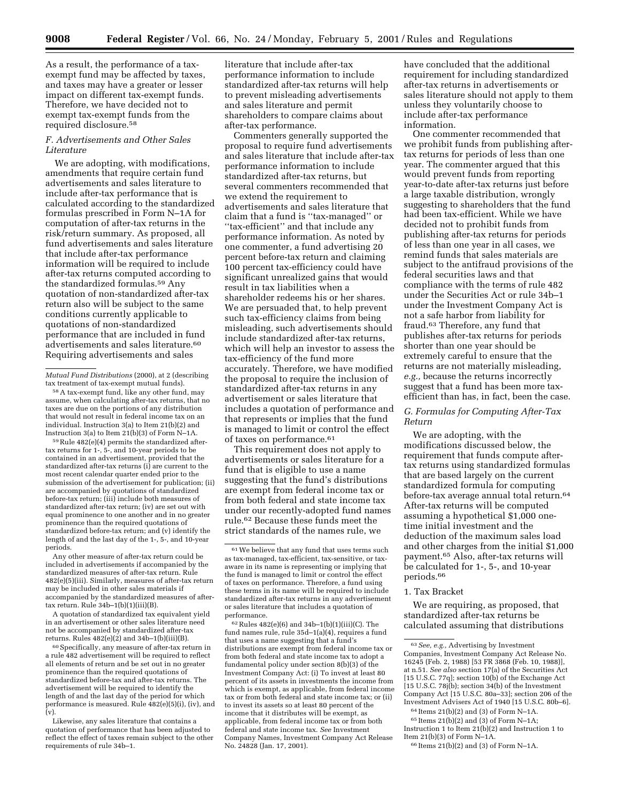As a result, the performance of a taxexempt fund may be affected by taxes, and taxes may have a greater or lesser impact on different tax-exempt funds. Therefore, we have decided not to exempt tax-exempt funds from the required disclosure.58

# *F. Advertisements and Other Sales Literature*

We are adopting, with modifications, amendments that require certain fund advertisements and sales literature to include after-tax performance that is calculated according to the standardized formulas prescribed in Form N–1A for computation of after-tax returns in the risk/return summary. As proposed, all fund advertisements and sales literature that include after-tax performance information will be required to include after-tax returns computed according to the standardized formulas.59 Any quotation of non-standardized after-tax return also will be subject to the same conditions currently applicable to quotations of non-standardized performance that are included in fund advertisements and sales literature.60 Requiring advertisements and sales

58A tax-exempt fund, like any other fund, may assume, when calculating after-tax returns, that no taxes are due on the portions of any distribution that would not result in federal income tax on an individual. Instruction 3(a) to Item 21(b)(2) and Instruction 3(a) to Item 21(b)(3) of Form N–1A.

59Rule 482(e)(4) permits the standardized aftertax returns for 1-, 5-, and 10-year periods to be contained in an advertisement, provided that the standardized after-tax returns (i) are current to the most recent calendar quarter ended prior to the submission of the advertisement for publication; (ii) are accompanied by quotations of standardized before-tax return; (iii) include both measures of standardized after-tax return; (iv) are set out with equal prominence to one another and in no greater prominence than the required quotations of standardized before-tax return; and (v) identify the length of and the last day of the 1-, 5-, and 10-year periods.

Any other measure of after-tax return could be included in advertisements if accompanied by the standardized measures of after-tax return. Rule 482(e)(5)(iii). Similarly, measures of after-tax return may be included in other sales materials if accompanied by the standardized measures of aftertax return. Rule 34b–1(b)(1)(iii)(B).

A quotation of standardized tax equivalent yield in an advertisement or other sales literature need not be accompanied by standardized after-tax returns. Rules 482(e)(2) and 34b–1(b)(iii)(B).

<sup>60</sup> Specifically, any measure of after-tax return in a rule 482 advertisement will be required to reflect all elements of return and be set out in no greater prominence than the required quotations of standardized before-tax and after-tax returns. The advertisement will be required to identify the length of and the last day of the period for which performance is measured. Rule 482(e)(5)(i), (iv), and (v).

Likewise, any sales literature that contains a quotation of performance that has been adjusted to reflect the effect of taxes remain subject to the other requirements of rule 34b–1.

literature that include after-tax performance information to include standardized after-tax returns will help to prevent misleading advertisements and sales literature and permit shareholders to compare claims about after-tax performance.

Commenters generally supported the proposal to require fund advertisements and sales literature that include after-tax performance information to include standardized after-tax returns, but several commenters recommended that we extend the requirement to advertisements and sales literature that claim that a fund is ''tax-managed'' or ''tax-efficient'' and that include any performance information. As noted by one commenter, a fund advertising 20 percent before-tax return and claiming 100 percent tax-efficiency could have significant unrealized gains that would result in tax liabilities when a shareholder redeems his or her shares. We are persuaded that, to help prevent such tax-efficiency claims from being misleading, such advertisements should include standardized after-tax returns, which will help an investor to assess the tax-efficiency of the fund more accurately. Therefore, we have modified the proposal to require the inclusion of standardized after-tax returns in any advertisement or sales literature that includes a quotation of performance and that represents or implies that the fund is managed to limit or control the effect of taxes on performance.61

This requirement does not apply to advertisements or sales literature for a fund that is eligible to use a name suggesting that the fund's distributions are exempt from federal income tax or from both federal and state income tax under our recently-adopted fund names rule.62 Because these funds meet the strict standards of the names rule, we

 $62$  Rules  $482(e)(6)$  and  $34b-1(b)(1)(iii)(C)$ . The fund names rule, rule 35d–1(a)(4), requires a fund that uses a name suggesting that a fund's distributions are exempt from federal income tax or from both federal and state income tax to adopt a fundamental policy under section 8(b)(3) of the Investment Company Act: (i) To invest at least 80 percent of its assets in investments the income from which is exempt, as applicable, from federal income tax or from both federal and state income tax; or (ii) to invest its assets so at least 80 percent of the income that it distributes will be exempt, as applicable, from federal income tax or from both federal and state income tax. *See* Investment Company Names, Investment Company Act Release No. 24828 (Jan. 17, 2001).

have concluded that the additional requirement for including standardized after-tax returns in advertisements or sales literature should not apply to them unless they voluntarily choose to include after-tax performance information.

One commenter recommended that we prohibit funds from publishing aftertax returns for periods of less than one year. The commenter argued that this would prevent funds from reporting year-to-date after-tax returns just before a large taxable distribution, wrongly suggesting to shareholders that the fund had been tax-efficient. While we have decided not to prohibit funds from publishing after-tax returns for periods of less than one year in all cases, we remind funds that sales materials are subject to the antifraud provisions of the federal securities laws and that compliance with the terms of rule 482 under the Securities Act or rule 34b–1 under the Investment Company Act is not a safe harbor from liability for fraud.63 Therefore, any fund that publishes after-tax returns for periods shorter than one year should be extremely careful to ensure that the returns are not materially misleading, *e.g.,* because the returns incorrectly suggest that a fund has been more taxefficient than has, in fact, been the case.

# *G. Formulas for Computing After-Tax Return*

We are adopting, with the modifications discussed below, the requirement that funds compute aftertax returns using standardized formulas that are based largely on the current standardized formula for computing before-tax average annual total return.64 After-tax returns will be computed assuming a hypothetical \$1,000 onetime initial investment and the deduction of the maximum sales load and other charges from the initial \$1,000 payment.65 Also, after-tax returns will be calculated for 1-, 5-, and 10-year periods.66

# 1. Tax Bracket

We are requiring, as proposed, that standardized after-tax returns be calculated assuming that distributions

*Mutual Fund Distributions* (2000), at 2 (describing tax treatment of tax-exempt mutual funds).

<sup>61</sup>We believe that any fund that uses terms such as tax-managed, tax-efficient, tax-sensitive, or taxaware in its name is representing or implying that the fund is managed to limit or control the effect of taxes on performance. Therefore, a fund using these terms in its name will be required to include standardized after-tax returns in any advertisement or sales literature that includes a quotation of performance.

<sup>63</sup>*See, e.g.,* Advertising by Investment Companies, Investment Company Act Release No. 16245 (Feb. 2, 1988) [53 FR 3868 (Feb. 10, 1988)], at n.51. *See also* section 17(a) of the Securities Act [15 U.S.C. 77q]; section 10(b) of the Exchange Act [15 U.S.C. 78j(b); section 34(b) of the Investment Company Act [15 U.S.C. 80a–33]; section 206 of the Investment Advisers Act of 1940 [15 U.S.C. 80b–6]. 64 Items 21(b)(2) and (3) of Form N–1A.

<sup>65</sup> Items 21(b)(2) and (3) of Form N–1A;

Instruction 1 to Item 21(b)(2) and Instruction 1 to Item  $21(b)(3)$  of Form N-1A.

<sup>66</sup> Items 21(b)(2) and (3) of Form N–1A.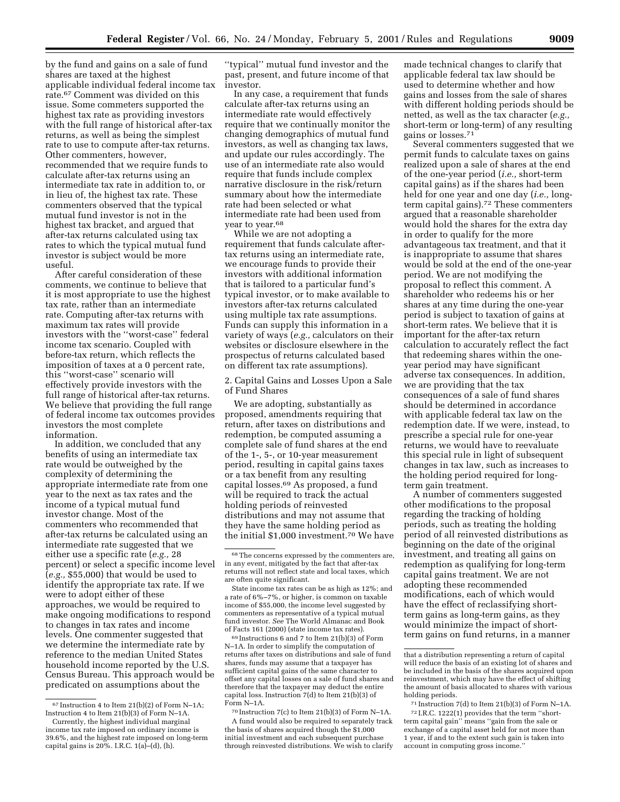by the fund and gains on a sale of fund shares are taxed at the highest applicable individual federal income tax rate.67 Comment was divided on this issue. Some commeters supported the highest tax rate as providing investors with the full range of historical after-tax returns, as well as being the simplest rate to use to compute after-tax returns. Other commenters, however, recommended that we require funds to calculate after-tax returns using an intermediate tax rate in addition to, or in lieu of, the highest tax rate. These commenters observed that the typical mutual fund investor is not in the highest tax bracket, and argued that after-tax returns calculated using tax rates to which the typical mutual fund investor is subject would be more useful.

After careful consideration of these comments, we continue to believe that it is most appropriate to use the highest tax rate, rather than an intermediate rate. Computing after-tax returns with maximum tax rates will provide investors with the ''worst-case'' federal income tax scenario. Coupled with before-tax return, which reflects the imposition of taxes at a 0 percent rate, this ''worst-case'' scenario will effectively provide investors with the full range of historical after-tax returns. We believe that providing the full range of federal income tax outcomes provides investors the most complete information.

In addition, we concluded that any benefits of using an intermediate tax rate would be outweighed by the complexity of determining the appropriate intermediate rate from one year to the next as tax rates and the income of a typical mutual fund investor change. Most of the commenters who recommended that after-tax returns be calculated using an intermediate rate suggested that we either use a specific rate (*e.g.,* 28 percent) or select a specific income level (*e.g.,* \$55,000) that would be used to identify the appropriate tax rate. If we were to adopt either of these approaches, we would be required to make ongoing modifications to respond to changes in tax rates and income levels. One commenter suggested that we determine the intermediate rate by reference to the median United States household income reported by the U.S. Census Bureau. This approach would be predicated on assumptions about the

''typical'' mutual fund investor and the past, present, and future income of that investor.

In any case, a requirement that funds calculate after-tax returns using an intermediate rate would effectively require that we continually monitor the changing demographics of mutual fund investors, as well as changing tax laws, and update our rules accordingly. The use of an intermediate rate also would require that funds include complex narrative disclosure in the risk/return summary about how the intermediate rate had been selected or what intermediate rate had been used from year to year.68

While we are not adopting a requirement that funds calculate aftertax returns using an intermediate rate, we encourage funds to provide their investors with additional information that is tailored to a particular fund's typical investor, or to make available to investors after-tax returns calculated using multiple tax rate assumptions. Funds can supply this information in a variety of ways (*e.g.,* calculators on their websites or disclosure elsewhere in the prospectus of returns calculated based on different tax rate assumptions).

2. Capital Gains and Losses Upon a Sale of Fund Shares

We are adopting, substantially as proposed, amendments requiring that return, after taxes on distributions and redemption, be computed assuming a complete sale of fund shares at the end of the 1-, 5-, or 10-year measurement period, resulting in capital gains taxes or a tax benefit from any resulting capital losses.69 As proposed, a fund will be required to track the actual holding periods of reinvested distributions and may not assume that they have the same holding period as the initial \$1,000 investment.70 We have

69 Instructions 6 and 7 to Item 21(b)(3) of Form N–1A. In order to simplify the computation of returns after taxes on distributions and sale of fund shares, funds may assume that a taxpayer has sufficient capital gains of the same character to offset any capital losses on a sale of fund shares and therefore that the taxpayer may deduct the entire capital loss. Instruction 7(d) to Item 21(b)(3) of Form N–1A.

70 Instruction 7(c) to Item 21(b)(3) of Form N–1A. A fund would also be required to separately track the basis of shares acquired though the \$1,000 initial investment and each subsequent purchase through reinvested distributions. We wish to clarify

made technical changes to clarify that applicable federal tax law should be used to determine whether and how gains and losses from the sale of shares with different holding periods should be netted, as well as the tax character (*e.g.,* short-term or long-term) of any resulting gains or losses.71

Several commenters suggested that we permit funds to calculate taxes on gains realized upon a sale of shares at the end of the one-year period (*i.e.,* short-term capital gains) as if the shares had been held for one year and one day (*i.e.,* longterm capital gains).72 These commenters argued that a reasonable shareholder would hold the shares for the extra day in order to qualify for the more advantageous tax treatment, and that it is inappropriate to assume that shares would be sold at the end of the one-year period. We are not modifying the proposal to reflect this comment. A shareholder who redeems his or her shares at any time during the one-year period is subject to taxation of gains at short-term rates. We believe that it is important for the after-tax return calculation to accurately reflect the fact that redeeming shares within the oneyear period may have significant adverse tax consequences. In addition, we are providing that the tax consequences of a sale of fund shares should be determined in accordance with applicable federal tax law on the redemption date. If we were, instead, to prescribe a special rule for one-year returns, we would have to reevaluate this special rule in light of subsequent changes in tax law, such as increases to the holding period required for longterm gain treatment.

A number of commenters suggested other modifications to the proposal regarding the tracking of holding periods, such as treating the holding period of all reinvested distributions as beginning on the date of the original investment, and treating all gains on redemption as qualifying for long-term capital gains treatment. We are not adopting these recommended modifications, each of which would have the effect of reclassifying shortterm gains as long-term gains, as they would minimize the impact of shortterm gains on fund returns, in a manner

<sup>67</sup> Instruction 4 to Item 21(b)(2) of Form N–1A; Instruction 4 to Item 21(b)(3) of Form N–1A.

Currently, the highest individual marginal income tax rate imposed on ordinary income is 39.6%, and the highest rate imposed on long-term capital gains is  $20\%$ . I.R.C.  $1(a)-(d)$ , (h).

<sup>68</sup>The concerns expressed by the commenters are, in any event, mitigated by the fact that after-tax returns will not reflect state and local taxes, which are often quite significant.

State income tax rates can be as high as 12%; and a rate of 6%–7%, or higher, is common on taxable income of \$55,000, the income level suggested by commenters as representative of a typical mutual fund investor. *See* The World Almanac and Book of Facts 161 (2000) (state income tax rates).

that a distribution representing a return of capital will reduce the basis of an existing lot of shares and be included in the basis of the shares acquired upon reinvestment, which may have the effect of shifting the amount of basis allocated to shares with various holding periods.

<sup>71</sup> Instruction 7(d) to Item 21(b)(3) of Form N–1A. 72 I.R.C. 1222(1) provides that the term ''shortterm capital gain'' means ''gain from the sale or exchange of a capital asset held for not more than 1 year, if and to the extent such gain is taken into account in computing gross income.''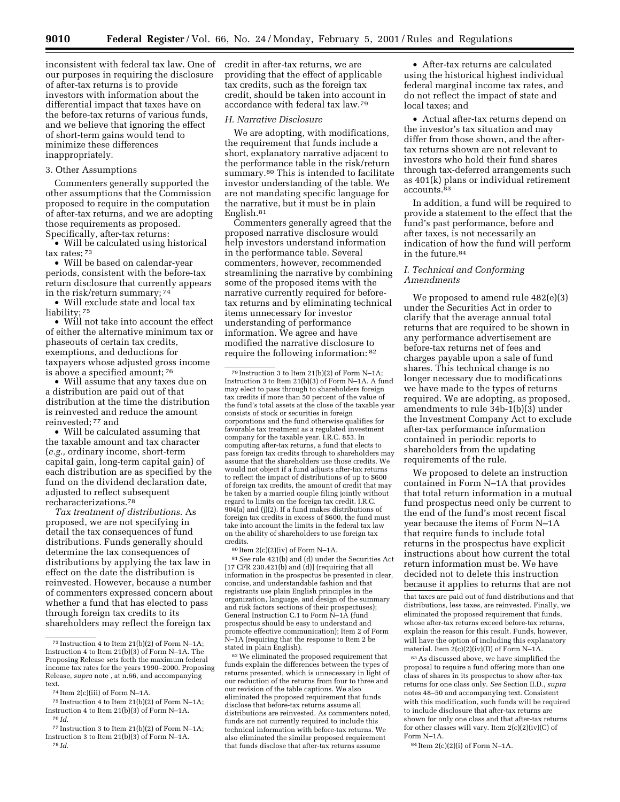inconsistent with federal tax law. One of credit in after-tax returns, we are our purposes in requiring the disclosure of after-tax returns is to provide investors with information about the differential impact that taxes have on the before-tax returns of various funds, and we believe that ignoring the effect of short-term gains would tend to minimize these differences inappropriately.

#### 3. Other Assumptions

Commenters generally supported the other assumptions that the Commission proposed to require in the computation of after-tax returns, and we are adopting those requirements as proposed. Specifically, after-tax returns:

• Will be calculated using historical tax rates; 73

• Will be based on calendar-year periods, consistent with the before-tax return disclosure that currently appears in the risk/return summary; 74

• Will exclude state and local tax liability; 75

• Will not take into account the effect of either the alternative minimum tax or phaseouts of certain tax credits, exemptions, and deductions for taxpayers whose adjusted gross income is above a specified amount; 76

• Will assume that any taxes due on a distribution are paid out of that distribution at the time the distribution is reinvested and reduce the amount reinvested; 77 and

• Will be calculated assuming that the taxable amount and tax character (*e.g.,* ordinary income, short-term capital gain, long-term capital gain) of each distribution are as specified by the fund on the dividend declaration date, adjusted to reflect subsequent recharacterizations.78

*Tax treatment of distributions.* As proposed, we are not specifying in detail the tax consequences of fund distributions. Funds generally should determine the tax consequences of distributions by applying the tax law in effect on the date the distribution is reinvested. However, because a number of commenters expressed concern about whether a fund that has elected to pass through foreign tax credits to its shareholders may reflect the foreign tax

75 Instruction 4 to Item 21(b)(2) of Form N–1A; Instruction 4 to Item 21(b)(3) of Form N–1A. 76 *Id.*

providing that the effect of applicable tax credits, such as the foreign tax credit, should be taken into account in accordance with federal tax law.79

### *H. Narrative Disclosure*

We are adopting, with modifications, the requirement that funds include a short, explanatory narrative adjacent to the performance table in the risk/return summary.<sup>80</sup> This is intended to facilitate investor understanding of the table. We are not mandating specific language for the narrative, but it must be in plain English.81

Commenters generally agreed that the proposed narrative disclosure would help investors understand information in the performance table. Several commenters, however, recommended streamlining the narrative by combining some of the proposed items with the narrative currently required for beforetax returns and by eliminating technical items unnecessary for investor understanding of performance information. We agree and have modified the narrative disclosure to require the following information: 82

80 Item 2(c)(2)(iv) of Form N–1A.

81*See* rule 421(b) and (d) under the Securities Act  $[17 \text{ CFR } 230.421 \text{ (b) and (d)]}$  (requiring that all information in the prospectus be presented in clear, concise, and understandable fashion and that registrants use plain English principles in the organization, language, and design of the summary and risk factors sections of their prospectuses); General Instruction C.1 to Form N-1A (fund prospectus should be easy to understand and promote effective communication); Item 2 of Form N–1A (requiring that the response to Item 2 be stated in plain English).

82We eliminated the proposed requirement that funds explain the differences between the types of returns presented, which is unnecessary in light of our reduction of the returns from four to three and our revision of the table captions. We also eliminated the proposed requirement that funds disclose that before-tax returns assume all distributions are reinvested. As commenters noted, funds are not currently required to include this technical information with before-tax returns. We also eliminated the similar proposed requirement that funds disclose that after-tax returns assume

• After-tax returns are calculated using the historical highest individual federal marginal income tax rates, and do not reflect the impact of state and local taxes; and

• Actual after-tax returns depend on the investor's tax situation and may differ from those shown, and the aftertax returns shown are not relevant to investors who hold their fund shares through tax-deferred arrangements such as 401(k) plans or individual retirement accounts.83

In addition, a fund will be required to provide a statement to the effect that the fund's past performance, before and after taxes, is not necessarily an indication of how the fund will perform in the future.84

### *I. Technical and Conforming Amendments*

We proposed to amend rule 482(e)(3) under the Securities Act in order to clarify that the average annual total returns that are required to be shown in any performance advertisement are before-tax returns net of fees and charges payable upon a sale of fund shares. This technical change is no longer necessary due to modifications we have made to the types of returns required. We are adopting, as proposed, amendments to rule 34b-1(b)(3) under the Investment Company Act to exclude after-tax performance information contained in periodic reports to shareholders from the updating requirements of the rule.

We proposed to delete an instruction contained in Form N–1A that provides that total return information in a mutual fund prospectus need only be current to the end of the fund's most recent fiscal year because the items of Form N–1A that require funds to include total returns in the prospectus have explicit instructions about how current the total return information must be. We have decided not to delete this instruction because it applies to returns that are not

that taxes are paid out of fund distributions and that distributions, less taxes, are reinvested. Finally, we eliminated the proposed requirement that funds, whose after-tax returns exceed before-tax returns, explain the reason for this result. Funds, however, will have the option of including this explanatory material. Item 2(c)(2)(iv)(D) of Form N–1A.

83As discussed above, we have simplified the proposal to require a fund offering more than one class of shares in its prospectus to show after-tax returns for one class only. *See* Section II.D., *supra* notes 48–50 and accompanying text. Consistent with this modification, such funds will be required to include disclosure that after-tax returns are shown for only one class and that after-tax returns for other classes will vary. Item  $2(c)(2)(iv)(C)$  of Form N–1A.

84 Item 2(c)(2)(i) of Form N–1A.

<sup>73</sup> Instruction 4 to Item 21(b)(2) of Form N–1A; Instruction 4 to Item 21(b)(3) of Form N–1A. The Proposing Release sets forth the maximum federal income tax rates for the years 1990–2000. Proposing Release, *supra* note , at n.66, and accompanying text.

<sup>74</sup> Item 2(c)(iii) of Form N–1A.

<sup>77</sup> Instruction 3 to Item 21(b)(2) of Form N–1A; Instruction 3 to Item 21(b)(3) of Form N–1A. 78 *Id.*

<sup>79</sup> Instruction 3 to Item 21(b)(2) of Form N–1A; Instruction 3 to Item 21(b)(3) of Form N–1A. A fund may elect to pass through to shareholders foreign tax credits if more than 50 percent of the value of the fund's total assets at the close of the taxable year consists of stock or securities in foreign corporations and the fund otherwise qualifies for favorable tax treatment as a regulated investment company for the taxable year. I.R.C. 853. In computing after-tax returns, a fund that elects to pass foreign tax credits through to shareholders may assume that the shareholders use those credits. We would not object if a fund adjusts after-tax returns to reflect the impact of distributions of up to \$600 of foreign tax credits, the amount of credit that may be taken by a married couple filing jointly without regard to limits on the foreign tax credit. I.R.C. 904(a) and (j)(2). If a fund makes distributions of foreign tax credits in excess of \$600, the fund must take into account the limits in the federal tax law on the ability of shareholders to use foreign tax credits.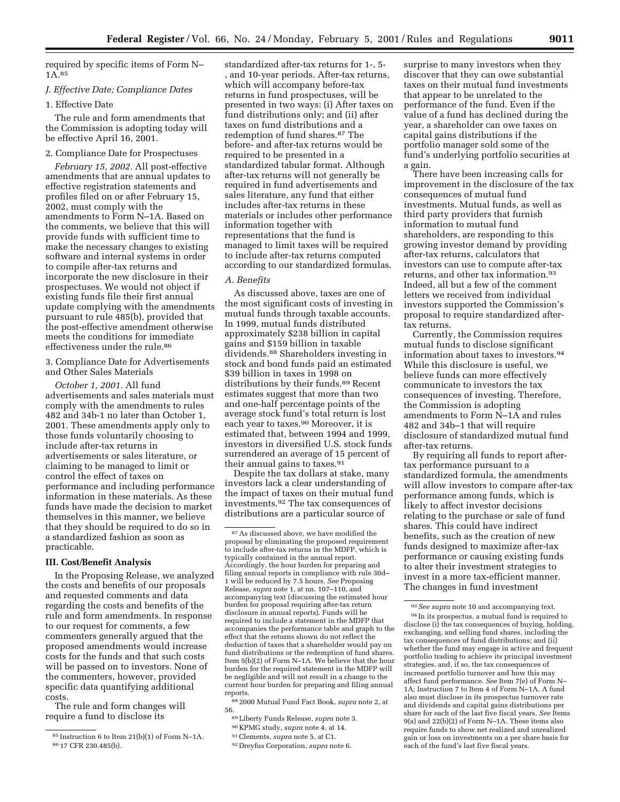required by specific items of Form N– 1A.85

### *J. Effective Date; Compliance Dates*

# 1. Effective Date

The rule and form amendments that the Commission is adopting today will be effective April 16, 2001.

#### 2. Compliance Date for Prospectuses

*February 15, 2002.* All post-effective amendments that are annual updates to effective registration statements and profiles filed on or after February 15, 2002, must comply with the amendments to Form N–1A. Based on the comments, we believe that this will provide funds with sufficient time to make the necessary changes to existing software and internal systems in order to compile after-tax returns and incorporate the new disclosure in their prospectuses. We would not object if existing funds file their first annual update complying with the amendments pursuant to rule 485(b), provided that the post-effective amendment otherwise meets the conditions for immediate effectiveness under the rule.86

3. Compliance Date for Advertisements and Other Sales Materials

*October 1, 2001.* All fund advertisements and sales materials must comply with the amendments to rules 482 and 34b-1 no later than October 1, 2001. These amendments apply only to those funds voluntarily choosing to include after-tax returns in advertisements or sales literature, or claiming to be managed to limit or control the effect of taxes on performance and including performance information in these materials. As these funds have made the decision to market themselves in this manner, we believe that they should be required to do so in a standardized fashion as soon as practicable.

#### **III. Cost/Benefit Analysis**

In the Proposing Release, we analyzed the costs and benefits of our proposals and requested comments and data regarding the costs and benefits of the rule and form amendments. In response to our request for comments, a few commenters generally argued that the proposed amendments would increase costs for the funds and that such costs will be passed on to investors. None of the commenters, however, provided specific data quantifying additional costs.

The rule and form changes will require a fund to disclose its

standardized after-tax returns for 1-, 5- , and 10-year periods. After-tax returns, which will accompany before-tax returns in fund prospectuses, will be presented in two ways: (i) After taxes on fund distributions only; and (ii) after taxes on fund distributions and a redemption of fund shares.87 The before- and after-tax returns would be required to be presented in a standardized tabular format. Although after-tax returns will not generally be required in fund advertisements and sales literature, any fund that either includes after-tax returns in these materials or includes other performance information together with representations that the fund is managed to limit taxes will be required to include after-tax returns computed according to our standardized formulas.

#### *A. Benefits*

As discussed above, taxes are one of the most significant costs of investing in mutual funds through taxable accounts. In 1999, mutual funds distributed approximately \$238 billion in capital gains and \$159 billion in taxable dividends.88 Shareholders investing in stock and bond funds paid an estimated \$39 billion in taxes in 1998 on distributions by their funds.89 Recent estimates suggest that more than two and one-half percentage points of the average stock fund's total return is lost each year to taxes.90 Moreover, it is estimated that, between 1994 and 1999, investors in diversified U.S. stock funds surrendered an average of 15 percent of their annual gains to taxes.91

Despite the tax dollars at stake, many investors lack a clear understanding of the impact of taxes on their mutual fund investments.92 The tax consequences of distributions are a particular source of

- 90 KPMG study, *supra* note 4, at 14.
- 91Clements, *supra* note 5, at C1.
- 92 Dreyfus Corporation, *supra* note 6.

surprise to many investors when they discover that they can owe substantial taxes on their mutual fund investments that appear to be unrelated to the performance of the fund. Even if the value of a fund has declined during the year, a shareholder can owe taxes on capital gains distributions if the portfolio manager sold some of the fund's underlying portfolio securities at a gain.

There have been increasing calls for improvement in the disclosure of the tax consequences of mutual fund investments. Mutual funds, as well as third party providers that furnish information to mutual fund shareholders, are responding to this growing investor demand by providing after-tax returns, calculators that investors can use to compute after-tax returns, and other tax information.93 Indeed, all but a few of the comment letters we received from individual investors supported the Commission's proposal to require standardized aftertax returns.

Currently, the Commission requires mutual funds to disclose significant information about taxes to investors.94 While this disclosure is useful, we believe funds can more effectively communicate to investors the tax consequences of investing. Therefore, the Commission is adopting amendments to Form N–1A and rules 482 and 34b–1 that will require disclosure of standardized mutual fund after-tax returns.

By requiring all funds to report aftertax performance pursuant to a standardized formula, the amendments will allow investors to compare after-tax performance among funds, which is likely to affect investor decisions relating to the purchase or sale of fund shares. This could have indirect benefits, such as the creation of new funds designed to maximize after-tax performance or causing existing funds to alter their investment strategies to invest in a more tax-efficient manner. The changes in fund investment

<sup>85</sup> Instruction 6 to Item 21(b)(1) of Form N–1A. 86 17 CFR 230.485(b).

 $^{\mathrm{87}}$  As discussed above, we have modified the proposal by eliminating the proposed requirement to include after-tax returns in the MDFP, which is typically contained in the annual report. Accordingly, the hour burden for preparing and filing annual reports in compliance with rule 30d– 1 will be reduced by 7.5 hours. *See* Proposing Release, *supra* note 1, at nn. 107–110, and accompanying text (discussing the estimated hour burden for proposal requiring after-tax return disclosure in annual reports). Funds will be required to include a statement in the MDFP that accompanies the performance table and graph to the effect that the returns shown do not reflect the deduction of taxes that a shareholder would pay on fund distributions or the redemption of fund shares. Item 5(b)(2) of Form N–1A. We believe that the hour burden for the required statement in the MDFP will be negligible and will not result in a change to the current hour burden for preparing and filing annual reports.

<sup>88</sup> 2000 Mutual Fund Fact Book, *supra* note 2, at 56.

<sup>89</sup>Liberty Funds Release, *supra* note 3.

<sup>93</sup>*See supra* note 10 and accompanying text. 94 In its prospectus, a mutual fund is required to disclose (i) the tax consequences of buying, holding, exchanging, and selling fund shares, including the tax consequences of fund distributions; and (ii) whether the fund may engage in active and frequent portfolio trading to achieve its principal investment strategies, and, if so, the tax consequences of increased portfolio turnover and how this may affect fund performance. *See* Item 7(e) of Form N– 1A; Instruction 7 to Item 4 of Form N–1A. A fund also must disclose in its prospectus turnover rate and dividends and capital gains distributions per share for each of the last five fiscal years. *See* Items 9(a) and 22(b)(2) of Form N–1A. These items also require funds to show net realized and unrealized gain or loss on investments on a per share basis for each of the fund's last five fiscal years.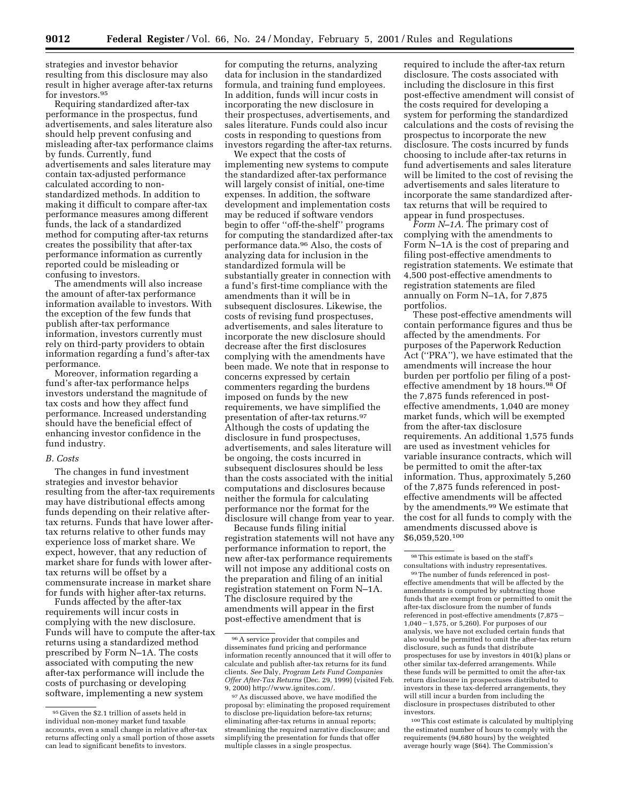strategies and investor behavior resulting from this disclosure may also result in higher average after-tax returns for investors.95

Requiring standardized after-tax performance in the prospectus, fund advertisements, and sales literature also should help prevent confusing and misleading after-tax performance claims by funds. Currently, fund advertisements and sales literature may contain tax-adjusted performance calculated according to nonstandardized methods. In addition to making it difficult to compare after-tax performance measures among different funds, the lack of a standardized method for computing after-tax returns creates the possibility that after-tax performance information as currently reported could be misleading or confusing to investors.

The amendments will also increase the amount of after-tax performance information available to investors. With the exception of the few funds that publish after-tax performance information, investors currently must rely on third-party providers to obtain information regarding a fund's after-tax performance.

Moreover, information regarding a fund's after-tax performance helps investors understand the magnitude of tax costs and how they affect fund performance. Increased understanding should have the beneficial effect of enhancing investor confidence in the fund industry.

#### *B. Costs*

The changes in fund investment strategies and investor behavior resulting from the after-tax requirements may have distributional effects among funds depending on their relative aftertax returns. Funds that have lower aftertax returns relative to other funds may experience loss of market share. We expect, however, that any reduction of market share for funds with lower aftertax returns will be offset by a commensurate increase in market share for funds with higher after-tax returns.

Funds affected by the after-tax requirements will incur costs in complying with the new disclosure. Funds will have to compute the after-tax returns using a standardized method prescribed by Form N–1A. The costs associated with computing the new after-tax performance will include the costs of purchasing or developing software, implementing a new system

for computing the returns, analyzing data for inclusion in the standardized formula, and training fund employees. In addition, funds will incur costs in incorporating the new disclosure in their prospectuses, advertisements, and sales literature. Funds could also incur costs in responding to questions from investors regarding the after-tax returns.

We expect that the costs of implementing new systems to compute the standardized after-tax performance will largely consist of initial, one-time expenses. In addition, the software development and implementation costs may be reduced if software vendors begin to offer ''off-the-shelf'' programs for computing the standardized after-tax performance data.96 Also, the costs of analyzing data for inclusion in the standardized formula will be substantially greater in connection with a fund's first-time compliance with the amendments than it will be in subsequent disclosures. Likewise, the costs of revising fund prospectuses, advertisements, and sales literature to incorporate the new disclosure should decrease after the first disclosures complying with the amendments have been made. We note that in response to concerns expressed by certain commenters regarding the burdens imposed on funds by the new requirements, we have simplified the presentation of after-tax returns.97 Although the costs of updating the disclosure in fund prospectuses, advertisements, and sales literature will be ongoing, the costs incurred in subsequent disclosures should be less than the costs associated with the initial computations and disclosures because neither the formula for calculating performance nor the format for the disclosure will change from year to year.

Because funds filing initial registration statements will not have any performance information to report, the new after-tax performance requirements will not impose any additional costs on the preparation and filing of an initial registration statement on Form N–1A. The disclosure required by the amendments will appear in the first post-effective amendment that is

required to include the after-tax return disclosure. The costs associated with including the disclosure in this first post-effective amendment will consist of the costs required for developing a system for performing the standardized calculations and the costs of revising the prospectus to incorporate the new disclosure. The costs incurred by funds choosing to include after-tax returns in fund advertisements and sales literature will be limited to the cost of revising the advertisements and sales literature to incorporate the same standardized aftertax returns that will be required to appear in fund prospectuses.

*Form N–1A.* The primary cost of complying with the amendments to Form N–1A is the cost of preparing and filing post-effective amendments to registration statements. We estimate that 4,500 post-effective amendments to registration statements are filed annually on Form N–1A, for 7,875 portfolios.

These post-effective amendments will contain performance figures and thus be affected by the amendments. For purposes of the Paperwork Reduction Act (''PRA''), we have estimated that the amendments will increase the hour burden per portfolio per filing of a posteffective amendment by 18 hours.98 Of the 7,875 funds referenced in posteffective amendments, 1,040 are money market funds, which will be exempted from the after-tax disclosure requirements. An additional 1,575 funds are used as investment vehicles for variable insurance contracts, which will be permitted to omit the after-tax information. Thus, approximately 5,260 of the 7,875 funds referenced in posteffective amendments will be affected by the amendments.99 We estimate that the cost for all funds to comply with the amendments discussed above is \$6,059,520.100

99The number of funds referenced in posteffective amendments that will be affected by the amendments is computed by subtracting those funds that are exempt from or permitted to omit the after-tax disclosure from the number of funds referenced in post-effective amendments (7,875 ·  $1.040 - 1.575$ , or 5,260). For purposes of our analysis, we have not excluded certain funds that also would be permitted to omit the after-tax return disclosure, such as funds that distribute prospectuses for use by investors in 401(k) plans or other similar tax-deferred arrangements. While these funds will be permitted to omit the after-tax return disclosure in prospectuses distributed to investors in these tax-deferred arrangements, they will still incur a burden from including the disclosure in prospectuses distributed to other investors.

100This cost estimate is calculated by multiplying the estimated number of hours to comply with the requirements (94,680 hours) by the weighted average hourly wage (\$64). The Commission's

 $^{95}\mathrm{Given}$  the \$2.1 trillion of assets held in individual non-money market fund taxable accounts, even a small change in relative after-tax returns affecting only a small portion of those assets can lead to significant benefits to investors.

<sup>96</sup>A service provider that compiles and disseminates fund pricing and performance information recently announced that it will offer to calculate and publish after-tax returns for its fund clients. *See* Daly, *Program Lets Fund Companies Offer After-Tax Returns* (Dec. 29, 1999) (visited Feb. 9, 2000) http://www.ignites.com/.

<sup>97</sup>As discussed above, we have modified the proposal by: eliminating the proposed requirement to disclose pre-liquidation before-tax returns; eliminating after-tax returns in annual reports; streamlining the required narrative disclosure; and simplifying the presentation for funds that offer multiple classes in a single prospectus.

<sup>98</sup>This estimate is based on the staff's consultations with industry representatives.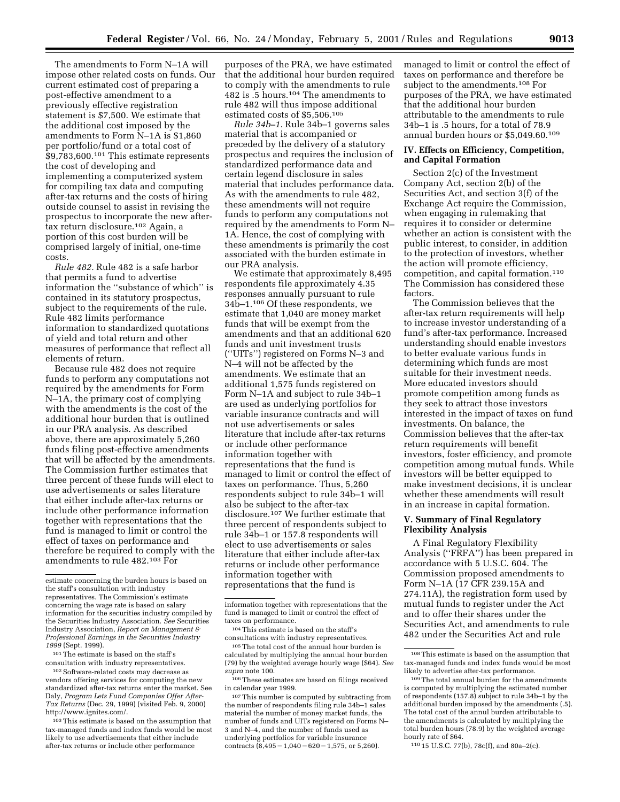The amendments to Form N–1A will impose other related costs on funds. Our current estimated cost of preparing a post-effective amendment to a previously effective registration statement is \$7,500. We estimate that the additional cost imposed by the amendments to Form N–1A is \$1,860 per portfolio/fund or a total cost of  $$9,783,600.<sup>101</sup>$  This estimate represents the cost of developing and implementing a computerized system for compiling tax data and computing after-tax returns and the costs of hiring outside counsel to assist in revising the prospectus to incorporate the new aftertax return disclosure.102 Again, a portion of this cost burden will be comprised largely of initial, one-time costs.

*Rule 482.* Rule 482 is a safe harbor that permits a fund to advertise information the ''substance of which'' is contained in its statutory prospectus, subject to the requirements of the rule. Rule 482 limits performance information to standardized quotations of yield and total return and other measures of performance that reflect all elements of return.

Because rule 482 does not require funds to perform any computations not required by the amendments for Form N–1A, the primary cost of complying with the amendments is the cost of the additional hour burden that is outlined in our PRA analysis. As described above, there are approximately 5,260 funds filing post-effective amendments that will be affected by the amendments. The Commission further estimates that three percent of these funds will elect to use advertisements or sales literature that either include after-tax returns or include other performance information together with representations that the fund is managed to limit or control the effect of taxes on performance and therefore be required to comply with the amendments to rule 482.103 For

101The estimate is based on the staff's consultation with industry representatives.

102Software-related costs may decrease as vendors offering services for computing the new standardized after-tax returns enter the market. See Daly, *Program Lets Fund Companies Offer After-Tax Returns* (Dec. 29, 1999) (visited Feb. 9, 2000) http://www.ignites.com/.

103This estimate is based on the assumption that tax-managed funds and index funds would be most likely to use advertisements that either include after-tax returns or include other performance

purposes of the PRA, we have estimated that the additional hour burden required to comply with the amendments to rule 482 is .5 hours.104 The amendments to rule 482 will thus impose additional estimated costs of \$5,506.105

*Rule 34b–1.* Rule 34b–1 governs sales material that is accompanied or preceded by the delivery of a statutory prospectus and requires the inclusion of standardized performance data and certain legend disclosure in sales material that includes performance data. As with the amendments to rule 482, these amendments will not require funds to perform any computations not required by the amendments to Form N– 1A. Hence, the cost of complying with these amendments is primarily the cost associated with the burden estimate in our PRA analysis.

We estimate that approximately 8,495 respondents file approximately 4.35 responses annually pursuant to rule 34b–1.106 Of these respondents, we estimate that 1,040 are money market funds that will be exempt from the amendments and that an additional 620 funds and unit investment trusts (''UITs'') registered on Forms N–3 and N–4 will not be affected by the amendments. We estimate that an additional 1,575 funds registered on Form N–1A and subject to rule 34b–1 are used as underlying portfolios for variable insurance contracts and will not use advertisements or sales literature that include after-tax returns or include other performance information together with representations that the fund is managed to limit or control the effect of taxes on performance. Thus, 5,260 respondents subject to rule 34b–1 will also be subject to the after-tax disclosure.107 We further estimate that three percent of respondents subject to rule 34b–1 or 157.8 respondents will elect to use advertisements or sales literature that either include after-tax returns or include other performance information together with representations that the fund is

managed to limit or control the effect of taxes on performance and therefore be subject to the amendments.108 For purposes of the PRA, we have estimated that the additional hour burden attributable to the amendments to rule 34b–1 is .5 hours, for a total of 78.9 annual burden hours or \$5,049.60.109

### **IV. Effects on Efficiency, Competition, and Capital Formation**

Section 2(c) of the Investment Company Act, section 2(b) of the Securities Act, and section 3(f) of the Exchange Act require the Commission, when engaging in rulemaking that requires it to consider or determine whether an action is consistent with the public interest, to consider, in addition to the protection of investors, whether the action will promote efficiency, competition, and capital formation.110 The Commission has considered these factors.

The Commission believes that the after-tax return requirements will help to increase investor understanding of a fund's after-tax performance. Increased understanding should enable investors to better evaluate various funds in determining which funds are most suitable for their investment needs. More educated investors should promote competition among funds as they seek to attract those investors interested in the impact of taxes on fund investments. On balance, the Commission believes that the after-tax return requirements will benefit investors, foster efficiency, and promote competition among mutual funds. While investors will be better equipped to make investment decisions, it is unclear whether these amendments will result in an increase in capital formation.

# **V. Summary of Final Regulatory Flexibility Analysis**

A Final Regulatory Flexibility Analysis (''FRFA'') has been prepared in accordance with 5 U.S.C. 604. The Commission proposed amendments to Form N–1A (17 CFR 239.15A and 274.11A), the registration form used by mutual funds to register under the Act and to offer their shares under the Securities Act, and amendments to rule 482 under the Securities Act and rule

110 15 U.S.C. 77(b), 78c(f), and 80a–2(c).

estimate concerning the burden hours is based on the staff's consultation with industry representatives. The Commission's estimate concerning the wage rate is based on salary information for the securities industry compiled by the Securities Industry Association. *See* Securities Industry Association, *Report on Management & Professional Earnings in the Securities Industry 1999* (Sept. 1999).

information together with representations that the fund is managed to limit or control the effect of taxes on performance.

<sup>104</sup>This estimate is based on the staff's consultations with industry representatives.

<sup>105</sup>The total cost of the annual hour burden is calculated by multiplying the annual hour burden (79) by the weighted average hourly wage (\$64). *See supra* note 100.

<sup>106</sup>These estimates are based on filings received in calendar year 1999.

<sup>107</sup>This number is computed by subtracting from the number of respondents filing rule 34b–1 sales material the number of money market funds, the number of funds and UITs registered on Forms N– 3 and N–4, and the number of funds used as underlying portfolios for variable insurance contracts  $(8,495 - 1,040 - 620 - 1,575,$  or 5,260).

<sup>108</sup>This estimate is based on the assumption that tax-managed funds and index funds would be most likely to advertise after-tax performance.

<sup>109</sup>The total annual burden for the amendments is computed by multiplying the estimated number of respondents (157.8) subject to rule 34b–1 by the additional burden imposed by the amendments (.5). The total cost of the annul burden attributable to the amendments is calculated by multiplying the total burden hours (78.9) by the weighted average hourly rate of \$64.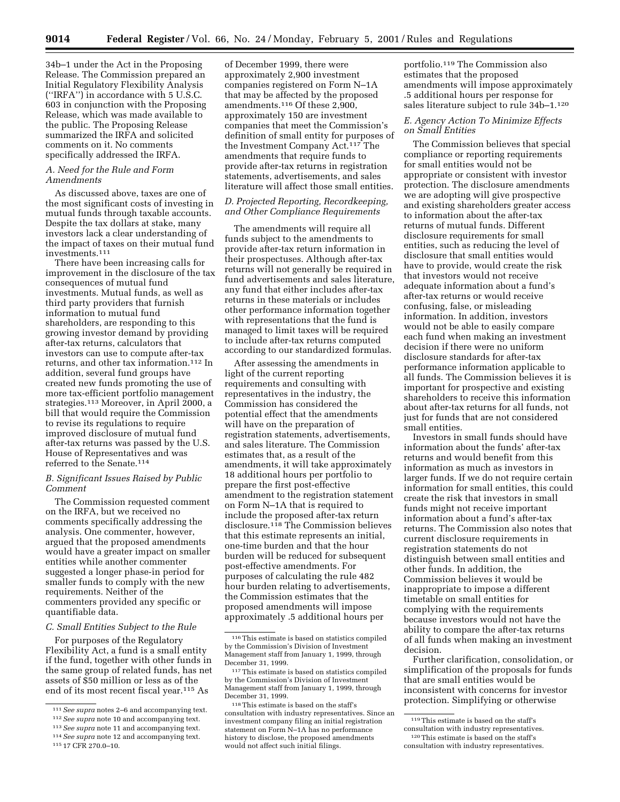34b–1 under the Act in the Proposing Release. The Commission prepared an Initial Regulatory Flexibility Analysis (''IRFA'') in accordance with 5 U.S.C. 603 in conjunction with the Proposing Release, which was made available to the public. The Proposing Release summarized the IRFA and solicited comments on it. No comments specifically addressed the IRFA.

#### *A. Need for the Rule and Form Amendments*

As discussed above, taxes are one of the most significant costs of investing in mutual funds through taxable accounts. Despite the tax dollars at stake, many investors lack a clear understanding of the impact of taxes on their mutual fund investments.111

There have been increasing calls for improvement in the disclosure of the tax consequences of mutual fund investments. Mutual funds, as well as third party providers that furnish information to mutual fund shareholders, are responding to this growing investor demand by providing after-tax returns, calculators that investors can use to compute after-tax returns, and other tax information.112 In addition, several fund groups have created new funds promoting the use of more tax-efficient portfolio management strategies.113 Moreover, in April 2000, a bill that would require the Commission to revise its regulations to require improved disclosure of mutual fund after-tax returns was passed by the U.S. House of Representatives and was referred to the Senate.114

### *B. Significant Issues Raised by Public Comment*

The Commission requested comment on the IRFA, but we received no comments specifically addressing the analysis. One commenter, however, argued that the proposed amendments would have a greater impact on smaller entities while another commenter suggested a longer phase-in period for smaller funds to comply with the new requirements. Neither of the commenters provided any specific or quantifiable data.

#### *C. Small Entities Subject to the Rule*

For purposes of the Regulatory Flexibility Act, a fund is a small entity if the fund, together with other funds in the same group of related funds, has net assets of \$50 million or less as of the end of its most recent fiscal year.115 As

of December 1999, there were approximately 2,900 investment companies registered on Form N–1A that may be affected by the proposed amendments.116 Of these 2,900, approximately 150 are investment companies that meet the Commission's definition of small entity for purposes of the Investment Company Act.117 The amendments that require funds to provide after-tax returns in registration statements, advertisements, and sales literature will affect those small entities.

# *D. Projected Reporting, Recordkeeping, and Other Compliance Requirements*

The amendments will require all funds subject to the amendments to provide after-tax return information in their prospectuses. Although after-tax returns will not generally be required in fund advertisements and sales literature, any fund that either includes after-tax returns in these materials or includes other performance information together with representations that the fund is managed to limit taxes will be required to include after-tax returns computed according to our standardized formulas.

After assessing the amendments in light of the current reporting requirements and consulting with representatives in the industry, the Commission has considered the potential effect that the amendments will have on the preparation of registration statements, advertisements, and sales literature. The Commission estimates that, as a result of the amendments, it will take approximately 18 additional hours per portfolio to prepare the first post-effective amendment to the registration statement on Form N–1A that is required to include the proposed after-tax return disclosure.118 The Commission believes that this estimate represents an initial, one-time burden and that the hour burden will be reduced for subsequent post-effective amendments. For purposes of calculating the rule 482 hour burden relating to advertisements, the Commission estimates that the proposed amendments will impose approximately .5 additional hours per

portfolio.119 The Commission also estimates that the proposed amendments will impose approximately .5 additional hours per response for sales literature subject to rule 34b–1.120

# *E. Agency Action To Minimize Effects on Small Entities*

The Commission believes that special compliance or reporting requirements for small entities would not be appropriate or consistent with investor protection. The disclosure amendments we are adopting will give prospective and existing shareholders greater access to information about the after-tax returns of mutual funds. Different disclosure requirements for small entities, such as reducing the level of disclosure that small entities would have to provide, would create the risk that investors would not receive adequate information about a fund's after-tax returns or would receive confusing, false, or misleading information. In addition, investors would not be able to easily compare each fund when making an investment decision if there were no uniform disclosure standards for after-tax performance information applicable to all funds. The Commission believes it is important for prospective and existing shareholders to receive this information about after-tax returns for all funds, not just for funds that are not considered small entities.

Investors in small funds should have information about the funds' after-tax returns and would benefit from this information as much as investors in larger funds. If we do not require certain information for small entities, this could create the risk that investors in small funds might not receive important information about a fund's after-tax returns. The Commission also notes that current disclosure requirements in registration statements do not distinguish between small entities and other funds. In addition, the Commission believes it would be inappropriate to impose a different timetable on small entities for complying with the requirements because investors would not have the ability to compare the after-tax returns of all funds when making an investment decision.

Further clarification, consolidation, or simplification of the proposals for funds that are small entities would be inconsistent with concerns for investor protection. Simplifying or otherwise

<sup>111</sup>*See supra* notes 2–6 and accompanying text.

<sup>112</sup>*See supra* note 10 and accompanying text.

<sup>113</sup>*See supra* note 11 and accompanying text.

<sup>114</sup>*See supra* note 12 and accompanying text. 115 17 CFR 270.0–10.

<sup>116</sup>This estimate is based on statistics compiled by the Commission's Division of Investment Management staff from January 1, 1999, through December 31, 1999.

<sup>117</sup>This estimate is based on statistics compiled by the Commission's Division of Investment Management staff from January 1, 1999, through December 31, 1999.

<sup>118</sup>This estimate is based on the staff's consultation with industry representatives. Since an investment company filing an initial registration statement on Form N–1A has no performance history to disclose, the proposed amendments would not affect such initial filings.

 $^{\rm 119}\rm{This}$  estimate is based on the staff's consultation with industry representatives.

<sup>120</sup>This estimate is based on the staff's

consultation with industry representatives.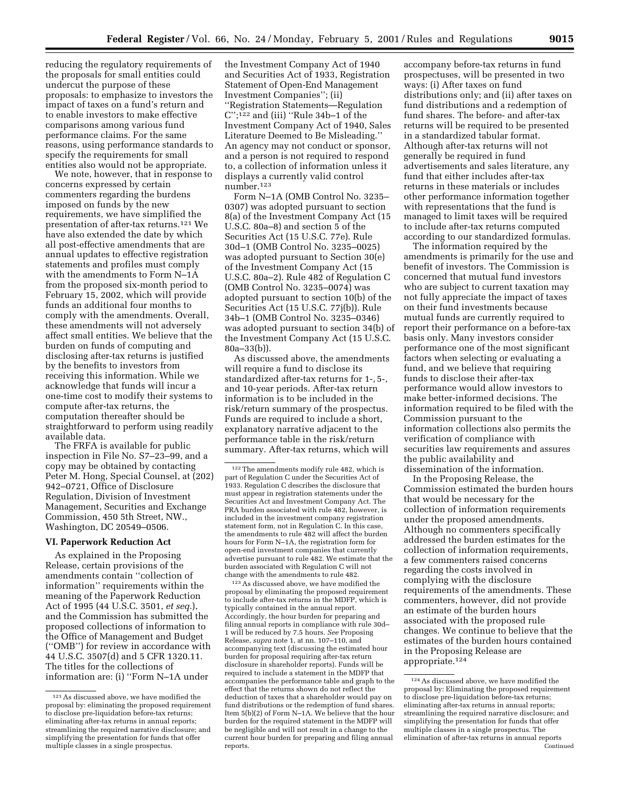reducing the regulatory requirements of the proposals for small entities could undercut the purpose of these proposals: to emphasize to investors the impact of taxes on a fund's return and to enable investors to make effective comparisons among various fund performance claims. For the same reasons, using performance standards to specify the requirements for small entities also would not be appropriate.

We note, however, that in response to concerns expressed by certain commenters regarding the burdens imposed on funds by the new requirements, we have simplified the presentation of after-tax returns.121 We have also extended the date by which all post-effective amendments that are annual updates to effective registration statements and profiles must comply with the amendments to Form N–1A from the proposed six-month period to February 15, 2002, which will provide funds an additional four months to comply with the amendments. Overall, these amendments will not adversely affect small entities. We believe that the burden on funds of computing and disclosing after-tax returns is justified by the benefits to investors from receiving this information. While we acknowledge that funds will incur a one-time cost to modify their systems to compute after-tax returns, the computation thereafter should be straightforward to perform using readily available data.

The FRFA is available for public inspection in File No. S7–23–99, and a copy may be obtained by contacting Peter M. Hong, Special Counsel, at (202) 942–0721, Office of Disclosure Regulation, Division of Investment Management, Securities and Exchange Commission, 450 5th Street, NW., Washington, DC 20549–0506.

#### **VI. Paperwork Reduction Act**

As explained in the Proposing Release, certain provisions of the amendments contain ''collection of information'' requirements within the meaning of the Paperwork Reduction Act of 1995 (44 U.S.C. 3501, *et seq.*), and the Commission has submitted the proposed collections of information to the Office of Management and Budget (''OMB'') for review in accordance with 44 U.S.C. 3507(d) and 5 CFR 1320.11. The titles for the collections of information are: (i) ''Form N–1A under

the Investment Company Act of 1940 and Securities Act of 1933, Registration Statement of Open-End Management Investment Companies''; (ii) ''Registration Statements—Regulation  $C$ ";<sup>122</sup> and (iii) "Rule 34b–1 of the Investment Company Act of 1940, Sales Literature Deemed to Be Misleading.'' An agency may not conduct or sponsor, and a person is not required to respond to, a collection of information unless it displays a currently valid control number.123

Form N–1A (OMB Control No. 3235– 0307) was adopted pursuant to section 8(a) of the Investment Company Act (15 U.S.C. 80a–8) and section 5 of the Securities Act (15 U.S.C. 77e). Rule 30d–1 (OMB Control No. 3235–0025) was adopted pursuant to Section 30(e) of the Investment Company Act (15 U.S.C. 80a–2). Rule 482 of Regulation C (OMB Control No. 3235–0074) was adopted pursuant to section 10(b) of the Securities Act (15 U.S.C. 77j(b)). Rule 34b–1 (OMB Control No. 3235–0346) was adopted pursuant to section 34(b) of the Investment Company Act (15 U.S.C. 80a–33(b)).

As discussed above, the amendments will require a fund to disclose its standardized after-tax returns for 1-, 5-, and 10-year periods. After-tax return information is to be included in the risk/return summary of the prospectus. Funds are required to include a short, explanatory narrative adjacent to the performance table in the risk/return summary. After-tax returns, which will

123As discussed above, we have modified the proposal by eliminating the proposed requirement to include after-tax returns in the MDFP, which is typically contained in the annual report. Accordingly, the hour burden for preparing and filing annual reports in compliance with rule 30d– 1 will be reduced by 7.5 hours. *See* Proposing Release, *supra* note 1, at nn. 107–110, and accompanying text (discussing the estimated hour burden for proposal requiring after-tax return disclosure in shareholder reports). Funds will be required to include a statement in the MDFP that accompanies the performance table and graph to the effect that the returns shown do not reflect the deduction of taxes that a shareholder would pay on fund distributions or the redemption of fund shares. Item 5(b)(2) of Form N–1A. We believe that the hour burden for the required statement in the MDFP will be negligible and will not result in a change to the current hour burden for preparing and filing annual reports.

accompany before-tax returns in fund prospectuses, will be presented in two ways: (i) After taxes on fund distributions only; and (ii) after taxes on fund distributions and a redemption of fund shares. The before- and after-tax returns will be required to be presented in a standardized tabular format. Although after-tax returns will not generally be required in fund advertisements and sales literature, any fund that either includes after-tax returns in these materials or includes other performance information together with representations that the fund is managed to limit taxes will be required to include after-tax returns computed according to our standardized formulas.

The information required by the amendments is primarily for the use and benefit of investors. The Commission is concerned that mutual fund investors who are subject to current taxation may not fully appreciate the impact of taxes on their fund investments because mutual funds are currently required to report their performance on a before-tax basis only. Many investors consider performance one of the most significant factors when selecting or evaluating a fund, and we believe that requiring funds to disclose their after-tax performance would allow investors to make better-informed decisions. The information required to be filed with the Commission pursuant to the information collections also permits the verification of compliance with securities law requirements and assures the public availability and dissemination of the information.

In the Proposing Release, the Commission estimated the burden hours that would be necessary for the collection of information requirements under the proposed amendments. Although no commenters specifically addressed the burden estimates for the collection of information requirements, a few commenters raised concerns regarding the costs involved in complying with the disclosure requirements of the amendments. These commenters, however, did not provide an estimate of the burden hours associated with the proposed rule changes. We continue to believe that the estimates of the burden hours contained in the Proposing Release are appropriate.124

<sup>121</sup>As discussed above, we have modified the proposal by: eliminating the proposed requirement to disclose pre-liquidation before-tax returns; eliminating after-tax returns in annual reports; streamlining the required narrative disclosure; and simplifying the presentation for funds that offer multiple classes in a single prospectus.

<sup>122</sup>The amendments modify rule 482, which is part of Regulation C under the Securities Act of 1933. Regulation C describes the disclosure that must appear in registration statements under the Securities Act and Investment Company Act. The PRA burden associated with rule 482, however, is included in the investment company registration statement form, not in Regulation C. In this case, the amendments to rule 482 will affect the burden hours for Form N–1A, the registration form for open-end investment companies that currently advertise pursuant to rule 482. We estimate that the burden associated with Regulation C will not change with the amendments to rule 482.

<sup>124</sup>As discussed above, we have modified the proposal by: Eliminating the proposed requirement to disclose pre-liquidation before-tax returns; eliminating after-tax returns in annual reports; streamlining the required narrative disclosure; and simplifying the presentation for funds that offer multiple classes in a single prospectus. The elimination of after-tax returns in annual reports Continued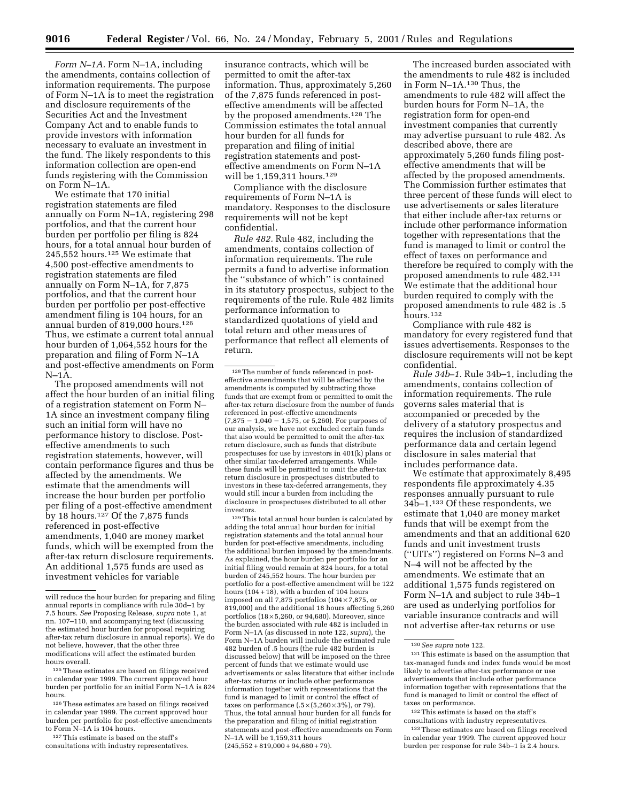*Form N–1A.* Form N–1A, including the amendments, contains collection of information requirements. The purpose of Form N–1A is to meet the registration and disclosure requirements of the Securities Act and the Investment Company Act and to enable funds to provide investors with information necessary to evaluate an investment in the fund. The likely respondents to this information collection are open-end funds registering with the Commission on Form N–1A.

We estimate that 170 initial registration statements are filed annually on Form N–1A, registering 298 portfolios, and that the current hour burden per portfolio per filing is 824 hours, for a total annual hour burden of 245,552 hours.125 We estimate that 4,500 post-effective amendments to registration statements are filed annually on Form N–1A, for 7,875 portfolios, and that the current hour burden per portfolio per post-effective amendment filing is 104 hours, for an annual burden of 819,000 hours.126 Thus, we estimate a current total annual hour burden of 1,064,552 hours for the preparation and filing of Form N–1A and post-effective amendments on Form  $N-1A$ .

The proposed amendments will not affect the hour burden of an initial filing of a registration statement on Form N– 1A since an investment company filing such an initial form will have no performance history to disclose. Posteffective amendments to such registration statements, however, will contain performance figures and thus be affected by the amendments. We estimate that the amendments will increase the hour burden per portfolio per filing of a post-effective amendment by 18 hours.127 Of the 7,875 funds referenced in post-effective amendments, 1,040 are money market funds, which will be exempted from the after-tax return disclosure requirements. An additional 1,575 funds are used as investment vehicles for variable

125These estimates are based on filings received in calendar year 1999. The current approved hour burden per portfolio for an initial Form N–1A is 824 hours.

127This estimate is based on the staff's consultations with industry representatives.

insurance contracts, which will be permitted to omit the after-tax information. Thus, approximately 5,260 of the 7,875 funds referenced in posteffective amendments will be affected by the proposed amendments.128 The Commission estimates the total annual hour burden for all funds for preparation and filing of initial registration statements and posteffective amendments on Form N–1A will be 1,159,311 hours.<sup>129</sup>

Compliance with the disclosure requirements of Form N–1A is mandatory. Responses to the disclosure requirements will not be kept confidential.

*Rule 482.* Rule 482, including the amendments, contains collection of information requirements. The rule permits a fund to advertise information the ''substance of which'' is contained in its statutory prospectus, subject to the requirements of the rule. Rule 482 limits performance information to standardized quotations of yield and total return and other measures of performance that reflect all elements of return.

129This total annual hour burden is calculated by adding the total annual hour burden for initial registration statements and the total annual hour burden for post-effective amendments, including the additional burden imposed by the amendments. As explained, the hour burden per portfolio for an initial filing would remain at 824 hours, for a total burden of 245,552 hours. The hour burden per portfolio for a post-effective amendment will be 122 hours (104 + 18), with a burden of 104 hours imposed on all 7,875 portfolios  $(104 \times 7,875, \text{ or }$ 819,000) and the additional 18 hours affecting 5,260 portfolios (18 × 5,260, or 94,680). Moreover, since the burden associated with rule 482 is included in Form N–1A (as discussed in note 122, *supra*), the Form N–1A burden will include the estimated rule 482 burden of .5 hours (the rule 482 burden is discussed below) that will be imposed on the three percent of funds that we estimate would use advertisements or sales literature that either include after-tax returns or include other performance information together with representations that the fund is managed to limit or control the effect of taxes on performance  $(.5\times(5,260\times3\%),$  or 79). Thus, the total annual hour burden for all funds for the preparation and filing of initial registration statements and post-effective amendments on Form N–1A will be 1,159,311 hours  $(245,552 + 819,000 + 94,680 + 79)$ 

The increased burden associated with the amendments to rule 482 is included in Form N–1A.130 Thus, the amendments to rule 482 will affect the burden hours for Form N–1A, the registration form for open-end investment companies that currently may advertise pursuant to rule 482. As described above, there are approximately 5,260 funds filing posteffective amendments that will be affected by the proposed amendments. The Commission further estimates that three percent of these funds will elect to use advertisements or sales literature that either include after-tax returns or include other performance information together with representations that the fund is managed to limit or control the effect of taxes on performance and therefore be required to comply with the proposed amendments to rule 482.131 We estimate that the additional hour burden required to comply with the proposed amendments to rule 482 is .5 hours.132

Compliance with rule 482 is mandatory for every registered fund that issues advertisements. Responses to the disclosure requirements will not be kept confidential.

*Rule 34b–1.* Rule 34b–1, including the amendments, contains collection of information requirements. The rule governs sales material that is accompanied or preceded by the delivery of a statutory prospectus and requires the inclusion of standardized performance data and certain legend disclosure in sales material that includes performance data.

We estimate that approximately 8,495 respondents file approximately 4.35 responses annually pursuant to rule 34b–1.133 Of these respondents, we estimate that 1,040 are money market funds that will be exempt from the amendments and that an additional 620 funds and unit investment trusts (''UITs'') registered on Forms N–3 and N–4 will not be affected by the amendments. We estimate that an additional 1,575 funds registered on Form N–1A and subject to rule 34b–1 are used as underlying portfolios for variable insurance contracts and will not advertise after-tax returns or use

132This estimate is based on the staff's consultations with industry representatives.

133These estimates are based on filings received in calendar year 1999. The current approved hour burden per response for rule 34b–1 is 2.4 hours.

will reduce the hour burden for preparing and filing annual reports in compliance with rule 30d–1 by 7.5 hours. *See* Proposing Release, *supra* note 1, at nn. 107–110, and accompanying text (discussing the estimated hour burden for proposal requiring after-tax return disclosure in annual reports). We do not believe, however, that the other three modifications will affect the estimated burden hours overall.

 $^{\rm 126}\mathrm{These}$  estimates are based on filings received in calendar year 1999. The current approved hour burden per portfolio for post-effective amendments to Form N–1A is 104 hours.

<sup>128</sup>The number of funds referenced in posteffective amendments that will be affected by the amendments is computed by subtracting those funds that are exempt from or permitted to omit the after-tax return disclosure from the number of funds referenced in post-effective amendments  $(7.875 - 1.040 - 1.575, \text{ or } 5.260)$ . For purposes of our analysis, we have not excluded certain funds that also would be permitted to omit the after-tax return disclosure, such as funds that distribute prospectuses for use by investors in 401(k) plans or other similar tax-deferred arrangements. While these funds will be permitted to omit the after-tax return disclosure in prospectuses distributed to investors in these tax-deferred arrangements, they would still incur a burden from including the disclosure in prospectuses distributed to all other investors.

<sup>130</sup>*See supra* note 122.

<sup>131</sup>This estimate is based on the assumption that tax-managed funds and index funds would be most likely to advertise after-tax performance or use advertisements that include other performance information together with representations that the fund is managed to limit or control the effect of taxes on performance.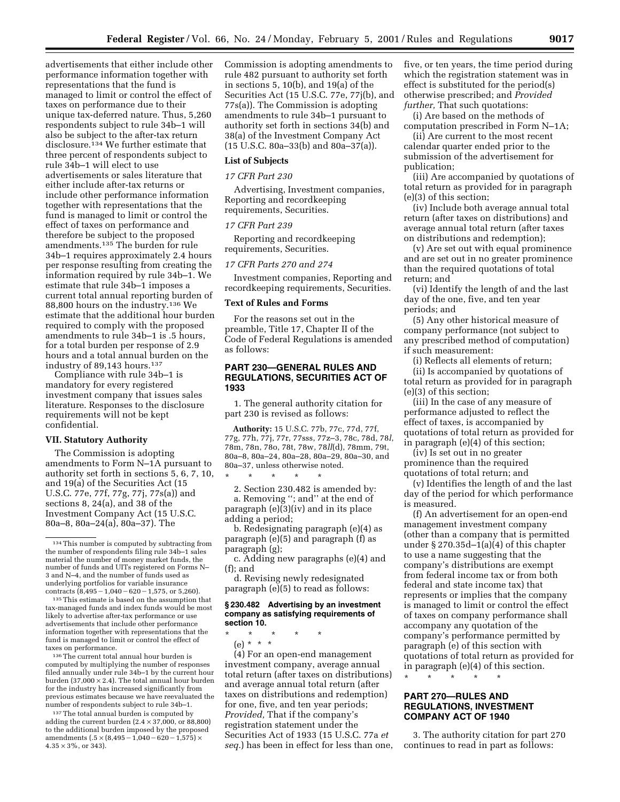advertisements that either include other performance information together with representations that the fund is managed to limit or control the effect of taxes on performance due to their unique tax-deferred nature. Thus, 5,260 respondents subject to rule 34b–1 will also be subject to the after-tax return disclosure.134 We further estimate that three percent of respondents subject to rule 34b–1 will elect to use advertisements or sales literature that either include after-tax returns or include other performance information together with representations that the fund is managed to limit or control the effect of taxes on performance and therefore be subject to the proposed amendments.135 The burden for rule 34b–1 requires approximately 2.4 hours per response resulting from creating the information required by rule 34b–1. We estimate that rule 34b–1 imposes a current total annual reporting burden of 88,800 hours on the industry.136 We estimate that the additional hour burden required to comply with the proposed amendments to rule 34b–1 is .5 hours, for a total burden per response of 2.9 hours and a total annual burden on the industry of 89,143 hours.<sup>137</sup>

Compliance with rule 34b–1 is mandatory for every registered investment company that issues sales literature. Responses to the disclosure requirements will not be kept confidential.

#### **VII. Statutory Authority**

The Commission is adopting amendments to Form N–1A pursuant to authority set forth in sections 5, 6, 7, 10, and 19(a) of the Securities Act (15 U.S.C. 77e, 77f, 77g, 77j, 77s(a)) and sections 8, 24(a), and 38 of the Investment Company Act (15 U.S.C. 80a–8, 80a–24(a), 80a–37). The

135This estimate is based on the assumption that tax-managed funds and index funds would be most likely to advertise after-tax performance or use advertisements that include other performance information together with representations that the fund is managed to limit or control the effect of taxes on performance.

136The current total annual hour burden is computed by multiplying the number of responses filed annually under rule 34b–1 by the current hour burden (37,000  $\times$  2.4). The total annual hour burden for the industry has increased significantly from previous estimates because we have reevaluated the number of respondents subject to rule 34b–1.

<sup>137</sup>The total annual burden is computed by adding the current burden  $(2.4 \times 37,000, \text{ or } 88,800)$ to the additional burden imposed by the proposed amendments  $(.5 \times (8,495 - 1,040 - 620 - 1,575) \times$  $4.35 \times 3\%$ , or 343).

Commission is adopting amendments to rule 482 pursuant to authority set forth in sections 5, 10(b), and 19(a) of the Securities Act (15 U.S.C. 77e, 77j(b), and 77s(a)). The Commission is adopting amendments to rule 34b–1 pursuant to authority set forth in sections 34(b) and 38(a) of the Investment Company Act (15 U.S.C. 80a–33(b) and 80a–37(a)).

# **List of Subjects**

#### *17 CFR Part 230*

Advertising, Investment companies, Reporting and recordkeeping requirements, Securities.

# *17 CFR Part 239*

Reporting and recordkeeping requirements, Securities.

#### *17 CFR Parts 270 and 274*

Investment companies, Reporting and recordkeeping requirements, Securities.

#### **Text of Rules and Forms**

For the reasons set out in the preamble, Title 17, Chapter II of the Code of Federal Regulations is amended as follows:

# **PART 230—GENERAL RULES AND REGULATIONS, SECURITIES ACT OF 1933**

1. The general authority citation for part 230 is revised as follows:

**Authority:** 15 U.S.C. 77b, 77c, 77d, 77f, 77g, 77h, 77j, 77r, 77sss, 77z–3, 78c, 78d, 78*l*, 78m, 78n, 78o, 78t, 78w, 78*ll*(d), 78mm, 79t, 80a–8, 80a–24, 80a–28, 80a–29, 80a–30, and 80a–37, unless otherwise noted.

\* \* \* \* \* 2. Section 230.482 is amended by:

a. Removing ''; and'' at the end of paragraph (e)(3)(iv) and in its place adding a period;

b. Redesignating paragraph (e)(4) as paragraph (e)(5) and paragraph (f) as paragraph (g);

c. Adding new paragraphs (e)(4) and (f); and

d. Revising newly redesignated paragraph (e)(5) to read as follows:

#### **§ 230.482 Advertising by an investment company as satisfying requirements of section 10.**

\* \* \* \* \*

(e) \* \* \*

(4) For an open-end management investment company, average annual total return (after taxes on distributions) and average annual total return (after taxes on distributions and redemption) for one, five, and ten year periods; *Provided,* That if the company's registration statement under the Securities Act of 1933 (15 U.S.C. 77a *et seq.*) has been in effect for less than one, five, or ten years, the time period during which the registration statement was in effect is substituted for the period(s) otherwise prescribed; and *Provided further,* That such quotations:

(i) Are based on the methods of computation prescribed in Form N–1A;

(ii) Are current to the most recent calendar quarter ended prior to the submission of the advertisement for publication;

(iii) Are accompanied by quotations of total return as provided for in paragraph (e)(3) of this section;

(iv) Include both average annual total return (after taxes on distributions) and average annual total return (after taxes on distributions and redemption);

(v) Are set out with equal prominence and are set out in no greater prominence than the required quotations of total return; and

(vi) Identify the length of and the last day of the one, five, and ten year periods; and

(5) Any other historical measure of company performance (not subject to any prescribed method of computation) if such measurement:

(i) Reflects all elements of return;

(ii) Is accompanied by quotations of total return as provided for in paragraph (e)(3) of this section;

(iii) In the case of any measure of performance adjusted to reflect the effect of taxes, is accompanied by quotations of total return as provided for in paragraph (e)(4) of this section;

(iv) Is set out in no greater prominence than the required quotations of total return; and

(v) Identifies the length of and the last day of the period for which performance is measured.

(f) An advertisement for an open-end management investment company (other than a company that is permitted under § 270.35d–1(a)(4) of this chapter to use a name suggesting that the company's distributions are exempt from federal income tax or from both federal and state income tax) that represents or implies that the company is managed to limit or control the effect of taxes on company performance shall accompany any quotation of the company's performance permitted by paragraph (e) of this section with quotations of total return as provided for in paragraph (e)(4) of this section. \* \* \* \* \*

# **PART 270—RULES AND REGULATIONS, INVESTMENT COMPANY ACT OF 1940**

3. The authority citation for part 270 continues to read in part as follows:

<sup>134</sup>This number is computed by subtracting from the number of respondents filing rule 34b–1 sales material the number of money market funds, the number of funds and UITs registered on Forms N– 3 and N–4, and the number of funds used as underlying portfolios for variable insurance contracts  $(8,495 - 1,040 - 620 - 1,575,$  or 5,260).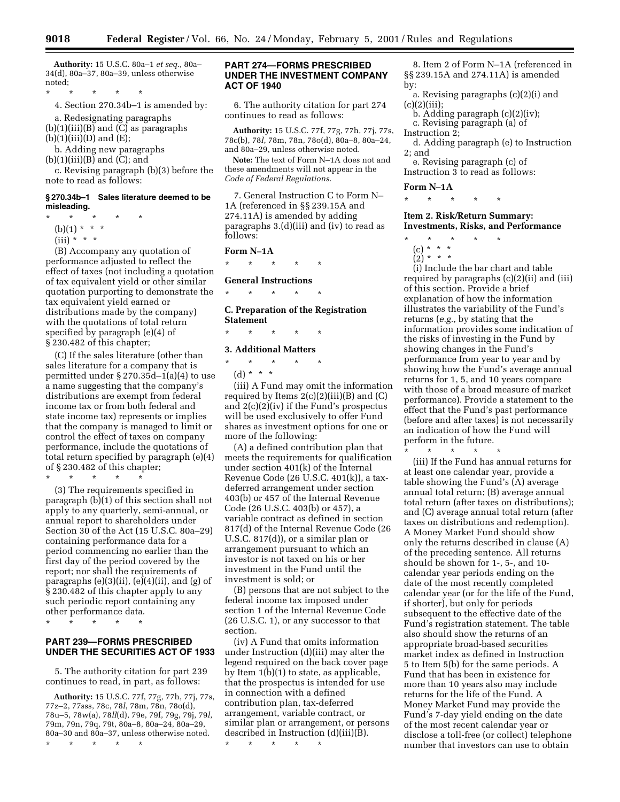**Authority:** 15 U.S.C. 80a–1 *et seq.*, 80a– 34(d), 80a–37, 80a–39, unless otherwise noted;

\* \* \* \* \*

4. Section 270.34b–1 is amended by:

a. Redesignating paragraphs  $(b)(1)(iii)(B)$  and  $(C)$  as paragraphs  $(b)(1)(iii)(D)$  and  $(E);$ 

b. Adding new paragraphs

 $(b)(1)(iii)(B)$  and  $(C)$ ; and

c. Revising paragraph (b)(3) before the note to read as follows:

#### **§ 270.34b–1 Sales literature deemed to be misleading.**

- \* \* \* \* \*
	- (b)(1) \* \* \*
	- (iii) \* \* \*

(B) Accompany any quotation of performance adjusted to reflect the effect of taxes (not including a quotation of tax equivalent yield or other similar quotation purporting to demonstrate the tax equivalent yield earned or distributions made by the company) with the quotations of total return specified by paragraph (e)(4) of § 230.482 of this chapter;

(C) If the sales literature (other than sales literature for a company that is permitted under § 270.35d–1(a)(4) to use a name suggesting that the company's distributions are exempt from federal income tax or from both federal and state income tax) represents or implies that the company is managed to limit or control the effect of taxes on company performance, include the quotations of total return specified by paragraph (e)(4) of § 230.482 of this chapter;

\* \* \* \* \*

(3) The requirements specified in paragraph (b)(1) of this section shall not apply to any quarterly, semi-annual, or annual report to shareholders under Section 30 of the Act (15 U.S.C. 80a–29) containing performance data for a period commencing no earlier than the first day of the period covered by the report; nor shall the requirements of paragraphs  $(e)(3)(ii)$ ,  $(e)(4)(ii)$ , and  $(g)$  of § 230.482 of this chapter apply to any such periodic report containing any other performance data.

\* \* \* \* \*

# **PART 239—FORMS PRESCRIBED UNDER THE SECURITIES ACT OF 1933**

5. The authority citation for part 239 continues to read, in part, as follows:

**Authority:** 15 U.S.C. 77f, 77g, 77h, 77j, 77s, 77z–2, 77sss, 78c, 78*l*, 78m, 78n, 78o(d), 78u–5, 78w(a), 78*ll*(d), 79e, 79f, 79g, 79j, 79*l*, 79m, 79n, 79q, 79t, 80a–8, 80a–24, 80a–29, 80a–30 and 80a–37, unless otherwise noted.

\* \* \* \* \*

# **PART 274—FORMS PRESCRIBED UNDER THE INVESTMENT COMPANY ACT OF 1940**

6. The authority citation for part 274 continues to read as follows:

**Authority:** 15 U.S.C. 77f, 77g, 77h, 77j, 77s, 78c(b), 78*l*, 78m, 78n, 78o(d), 80a–8, 80a–24, and 80a–29, unless otherwise noted.

**Note:** The text of Form N–1A does not and these amendments will not appear in the *Code of Federal Regulations.*

7. General Instruction C to Form N– 1A (referenced in §§ 239.15A and 274.11A) is amended by adding paragraphs 3.(d)(iii) and (iv) to read as follows:

# **Form N–1A**

\* \* \* \* \*

# **General Instructions**

\* \* \* \* \*

**C. Preparation of the Registration Statement**

#### \* \* \* \* \*

#### **3. Additional Matters**

\* \* \* \* \* (d) \* \* \*

(iii) A Fund may omit the information required by Items  $2(c)(2)(iii)(B)$  and  $(C)$ and 2(c)(2)(iv) if the Fund's prospectus will be used exclusively to offer Fund shares as investment options for one or more of the following:

(A) a defined contribution plan that meets the requirements for qualification under section 401(k) of the Internal Revenue Code (26 U.S.C. 401(k)), a taxdeferred arrangement under section 403(b) or 457 of the Internal Revenue Code (26 U.S.C. 403(b) or 457), a variable contract as defined in section 817(d) of the Internal Revenue Code (26 U.S.C. 817(d)), or a similar plan or arrangement pursuant to which an investor is not taxed on his or her investment in the Fund until the investment is sold; or

(B) persons that are not subject to the federal income tax imposed under section 1 of the Internal Revenue Code (26 U.S.C. 1), or any successor to that section.

(iv) A Fund that omits information under Instruction (d)(iii) may alter the legend required on the back cover page by Item 1(b)(1) to state, as applicable, that the prospectus is intended for use in connection with a defined contribution plan, tax-deferred arrangement, variable contract, or similar plan or arrangement, or persons described in Instruction (d)(iii)(B).

\* \* \* \* \*

8. Item 2 of Form N–1A (referenced in §§ 239.15A and 274.11A) is amended by:

a. Revising paragraphs (c)(2)(i) and  $(c)(2)(iii);$ 

- b. Adding paragraph (c)(2)(iv); c. Revising paragraph (a) of
- Instruction 2;

d. Adding paragraph (e) to Instruction 2; and

e. Revising paragraph (c) of Instruction 3 to read as follows:

#### **Form N–1A**

\* \* \* \* \*

**Item 2. Risk/Return Summary: Investments, Risks, and Performance**

- \* \* \* \* \*
	- (c) \* \* \*  $(2)^*$  \* \* \*
	-

(i) Include the bar chart and table required by paragraphs (c)(2)(ii) and (iii) of this section. Provide a brief explanation of how the information illustrates the variability of the Fund's returns (*e.g.,* by stating that the information provides some indication of the risks of investing in the Fund by showing changes in the Fund's performance from year to year and by showing how the Fund's average annual returns for 1, 5, and 10 years compare with those of a broad measure of market performance). Provide a statement to the effect that the Fund's past performance (before and after taxes) is not necessarily an indication of how the Fund will perform in the future. \* \* \* \* \*

(iii) If the Fund has annual returns for at least one calendar year, provide a table showing the Fund's (A) average annual total return; (B) average annual total return (after taxes on distributions); and (C) average annual total return (after taxes on distributions and redemption). A Money Market Fund should show only the returns described in clause (A) of the preceding sentence. All returns should be shown for 1-, 5-, and 10 calendar year periods ending on the date of the most recently completed calendar year (or for the life of the Fund, if shorter), but only for periods subsequent to the effective date of the Fund's registration statement. The table also should show the returns of an appropriate broad-based securities market index as defined in Instruction 5 to Item 5(b) for the same periods. A Fund that has been in existence for more than 10 years also may include returns for the life of the Fund. A Money Market Fund may provide the Fund's 7-day yield ending on the date of the most recent calendar year or disclose a toll-free (or collect) telephone number that investors can use to obtain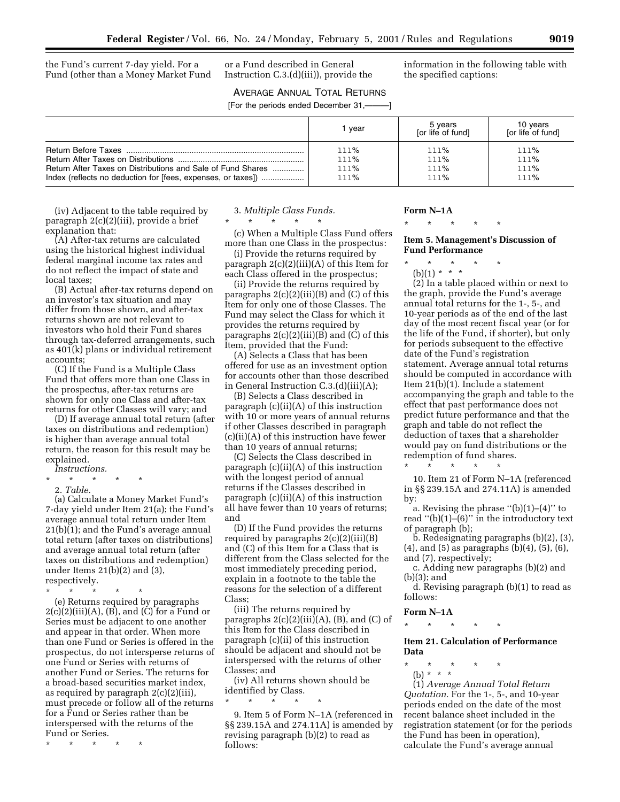the Fund's current 7-day yield. For a Fund (other than a Money Market Fund

or a Fund described in General Instruction C.3.(d)(iii)), provide the information in the following table with the specified captions:

AVERAGE ANNUAL TOTAL RETURNS

| [For the periods ended December 31,———] |              |                              |                                 |  |
|-----------------------------------------|--------------|------------------------------|---------------------------------|--|
|                                         | vear         | 5 years<br>for life of fundl | 10 <sub>ve</sub><br>[or life of |  |
|                                         | 111%<br>!11% | 111%<br>111%                 | 111%<br>111%                    |  |

| (iv) Adjacent to the table required by  |
|-----------------------------------------|
| paragraph 2(c)(2)(iii), provide a brief |
| explanation that:                       |

(A) After-tax returns are calculated using the historical highest individual federal marginal income tax rates and do not reflect the impact of state and local taxes;

(B) Actual after-tax returns depend on an investor's tax situation and may differ from those shown, and after-tax returns shown are not relevant to investors who hold their Fund shares through tax-deferred arrangements, such as 401(k) plans or individual retirement accounts;

(C) If the Fund is a Multiple Class Fund that offers more than one Class in the prospectus, after-tax returns are shown for only one Class and after-tax returns for other Classes will vary; and

(D) If average annual total return (after taxes on distributions and redemption) is higher than average annual total return, the reason for this result may be explained.

- *Instructions.*
- \* \* \* \* \* 2. *Table.*

(a) Calculate a Money Market Fund's 7-day yield under Item 21(a); the Fund's average annual total return under Item 21(b)(1); and the Fund's average annual total return (after taxes on distributions) and average annual total return (after taxes on distributions and redemption) under Items 21(b)(2) and (3), respectively.

\* \* \* \* \*

(e) Returns required by paragraphs  $2(c)(2)(iii)(A), (B)$ , and  $(C)$  for a Fund or Series must be adjacent to one another and appear in that order. When more than one Fund or Series is offered in the prospectus, do not intersperse returns of one Fund or Series with returns of another Fund or Series. The returns for a broad-based securities market index, as required by paragraph 2(c)(2)(iii), must precede or follow all of the returns for a Fund or Series rather than be interspersed with the returns of the Fund or Series.

\* \* \* \* \*

# 3. *Multiple Class Funds.*

Return After Taxes on Distributions and Sale of Fund Shares .............. lll% lll% lll% Index (reflects no deduction for [fees, expenses, or taxes]) ................... lll% lll% lll%

\* \* \* \* \*

(c) When a Multiple Class Fund offers more than one Class in the prospectus:

(i) Provide the returns required by paragraph 2(c)(2)(iii)(A) of this Item for each Class offered in the prospectus;

(ii) Provide the returns required by paragraphs  $2(c)(2)(iii)(B)$  and  $(C)$  of this Item for only one of those Classes. The Fund may select the Class for which it provides the returns required by paragraphs  $2(c)(2)(iii)(B)$  and  $(C)$  of this Item, provided that the Fund:

(A) Selects a Class that has been offered for use as an investment option for accounts other than those described in General Instruction C.3.(d)(iii)(A);

(B) Selects a Class described in paragraph (c)(ii)(A) of this instruction with 10 or more years of annual returns if other Classes described in paragraph (c)(ii)(A) of this instruction have fewer than 10 years of annual returns;

(C) Selects the Class described in paragraph (c)(ii)(A) of this instruction with the longest period of annual returns if the Classes described in paragraph (c)(ii)(A) of this instruction all have fewer than 10 years of returns; and

(D) If the Fund provides the returns required by paragraphs  $2(c)(2)(iii)(B)$ and (C) of this Item for a Class that is different from the Class selected for the most immediately preceding period, explain in a footnote to the table the reasons for the selection of a different Class;

(iii) The returns required by paragraphs 2(c)(2)(iii)(A), (B), and (C) of this Item for the Class described in paragraph (c)(ii) of this instruction should be adjacent and should not be interspersed with the returns of other Classes; and

(iv) All returns shown should be identified by Class.

\* \* \* \* \*

9. Item 5 of Form N–1A (referenced in §§ 239.15A and 274.11A) is amended by revising paragraph (b)(2) to read as follows:

#### **Form N–1A**

\* \* \* \* \*

#### **Item 5. Management's Discussion of Fund Performance**

- \* \* \* \* \*
	- $(b)(1) * * * *$

(2) In a table placed within or next to the graph, provide the Fund's average annual total returns for the 1-, 5-, and 10-year periods as of the end of the last day of the most recent fiscal year (or for the life of the Fund, if shorter), but only for periods subsequent to the effective date of the Fund's registration statement. Average annual total returns should be computed in accordance with Item 21(b)(1). Include a statement accompanying the graph and table to the effect that past performance does not predict future performance and that the graph and table do not reflect the deduction of taxes that a shareholder would pay on fund distributions or the redemption of fund shares.

\* \* \* \* \* 10. Item 21 of Form N–1A (referenced in §§ 239.15A and 274.11A) is amended by:

a. Revising the phrase  $"$ (b)(1)–(4)" to read  $'(b)(1)$ – $(6)$ " in the introductory text of paragraph (b);

b. Redesignating paragraphs (b)(2), (3), (4), and (5) as paragraphs (b)(4), (5), (6), and (7), respectively;

c. Adding new paragraphs (b)(2) and (b)(3); and

d. Revising paragraph (b)(1) to read as follows:

#### **Form N–1A**

# **Item 21. Calculation of Performance Data**

\* \* \* \* \* (b) \* \* \*

\* \* \* \* \*

(1) *Average Annual Total Return Quotation.* For the 1-, 5-, and 10-year periods ended on the date of the most recent balance sheet included in the registration statement (or for the periods the Fund has been in operation), calculate the Fund's average annual

10 years [or life of fund]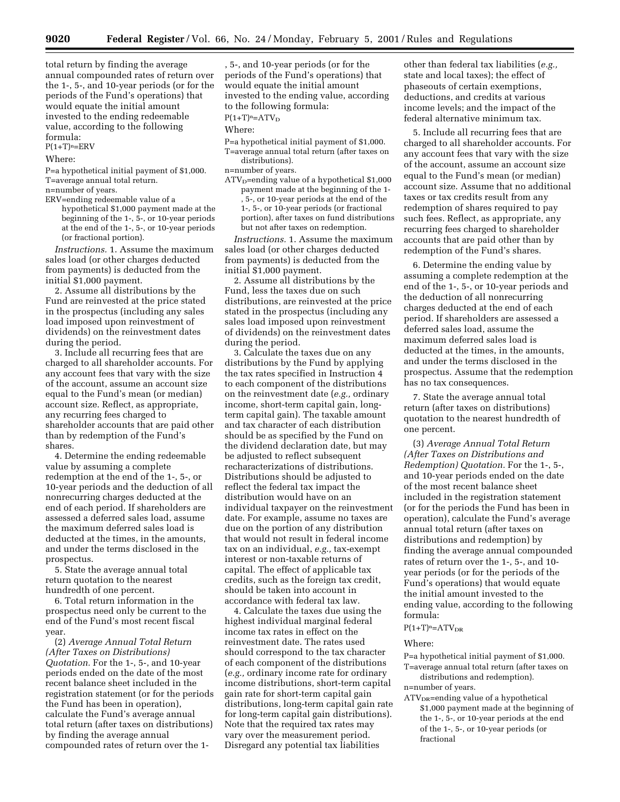total return by finding the average annual compounded rates of return over the 1-, 5-, and 10-year periods (or for the periods of the Fund's operations) that would equate the initial amount invested to the ending redeemable value, according to the following formula:  $P(1+T)^n=ERV$ 

Where:

P=a hypothetical initial payment of \$1,000. T=average annual total return. n=number of years.

ERV=ending redeemable value of a hypothetical \$1,000 payment made at the beginning of the 1-, 5-, or 10-year periods at the end of the 1-, 5-, or 10-year periods (or fractional portion).

*Instructions.* 1. Assume the maximum sales load (or other charges deducted from payments) is deducted from the initial \$1,000 payment.

2. Assume all distributions by the Fund are reinvested at the price stated in the prospectus (including any sales load imposed upon reinvestment of dividends) on the reinvestment dates during the period.

3. Include all recurring fees that are charged to all shareholder accounts. For any account fees that vary with the size of the account, assume an account size equal to the Fund's mean (or median) account size. Reflect, as appropriate, any recurring fees charged to shareholder accounts that are paid other than by redemption of the Fund's shares.

4. Determine the ending redeemable value by assuming a complete redemption at the end of the 1-, 5-, or 10-year periods and the deduction of all nonrecurring charges deducted at the end of each period. If shareholders are assessed a deferred sales load, assume the maximum deferred sales load is deducted at the times, in the amounts, and under the terms disclosed in the prospectus.

5. State the average annual total return quotation to the nearest hundredth of one percent.

6. Total return information in the prospectus need only be current to the end of the Fund's most recent fiscal year.

(2) *Average Annual Total Return (After Taxes on Distributions) Quotation.* For the 1-, 5-, and 10-year periods ended on the date of the most recent balance sheet included in the registration statement (or for the periods the Fund has been in operation), calculate the Fund's average annual total return (after taxes on distributions) by finding the average annual compounded rates of return over the 1, 5-, and 10-year periods (or for the periods of the Fund's operations) that would equate the initial amount invested to the ending value, according to the following formula:

 $P(1+T)<sup>n</sup>=ATV<sub>D</sub>$ 

Where:

P=a hypothetical initial payment of \$1,000. T=average annual total return (after taxes on distributions).

n=number of years.

 $ATV<sub>D</sub>=$ ending value of a hypothetical \$1,000 payment made at the beginning of the 1- , 5-, or 10-year periods at the end of the 1-, 5-, or 10-year periods (or fractional portion), after taxes on fund distributions but not after taxes on redemption.

*Instructions.* 1. Assume the maximum sales load (or other charges deducted from payments) is deducted from the initial \$1,000 payment.

2. Assume all distributions by the Fund, less the taxes due on such distributions, are reinvested at the price stated in the prospectus (including any sales load imposed upon reinvestment of dividends) on the reinvestment dates during the period.

3. Calculate the taxes due on any distributions by the Fund by applying the tax rates specified in Instruction 4 to each component of the distributions on the reinvestment date (*e.g.,* ordinary income, short-term capital gain, longterm capital gain). The taxable amount and tax character of each distribution should be as specified by the Fund on the dividend declaration date, but may be adjusted to reflect subsequent recharacterizations of distributions. Distributions should be adjusted to reflect the federal tax impact the distribution would have on an individual taxpayer on the reinvestment date. For example, assume no taxes are due on the portion of any distribution that would not result in federal income tax on an individual, *e.g.,* tax-exempt interest or non-taxable returns of capital. The effect of applicable tax credits, such as the foreign tax credit, should be taken into account in accordance with federal tax law.

4. Calculate the taxes due using the highest individual marginal federal income tax rates in effect on the reinvestment date. The rates used should correspond to the tax character of each component of the distributions (*e.g.,* ordinary income rate for ordinary income distributions, short-term capital gain rate for short-term capital gain distributions, long-term capital gain rate for long-term capital gain distributions). Note that the required tax rates may vary over the measurement period. Disregard any potential tax liabilities

other than federal tax liabilities (*e.g.,* state and local taxes); the effect of phaseouts of certain exemptions, deductions, and credits at various income levels; and the impact of the federal alternative minimum tax.

5. Include all recurring fees that are charged to all shareholder accounts. For any account fees that vary with the size of the account, assume an account size equal to the Fund's mean (or median) account size. Assume that no additional taxes or tax credits result from any redemption of shares required to pay such fees. Reflect, as appropriate, any recurring fees charged to shareholder accounts that are paid other than by redemption of the Fund's shares.

6. Determine the ending value by assuming a complete redemption at the end of the 1-, 5-, or 10-year periods and the deduction of all nonrecurring charges deducted at the end of each period. If shareholders are assessed a deferred sales load, assume the maximum deferred sales load is deducted at the times, in the amounts, and under the terms disclosed in the prospectus. Assume that the redemption has no tax consequences.

7. State the average annual total return (after taxes on distributions) quotation to the nearest hundredth of one percent.

(3) *Average Annual Total Return (After Taxes on Distributions and Redemption) Quotation.* For the 1-, 5-, and 10-year periods ended on the date of the most recent balance sheet included in the registration statement (or for the periods the Fund has been in operation), calculate the Fund's average annual total return (after taxes on distributions and redemption) by finding the average annual compounded rates of return over the 1-, 5-, and 10 year periods (or for the periods of the Fund's operations) that would equate the initial amount invested to the ending value, according to the following formula:

# $P(1+T)<sup>n</sup>=ATV<sub>DR</sub>$

#### Where:

P=a hypothetical initial payment of \$1,000. T=average annual total return (after taxes on

distributions and redemption).

n=number of years.

 $ATV<sub>DR</sub>=ending value of a hypothetical$ \$1,000 payment made at the beginning of the 1-, 5-, or 10-year periods at the end of the 1-, 5-, or 10-year periods (or fractional